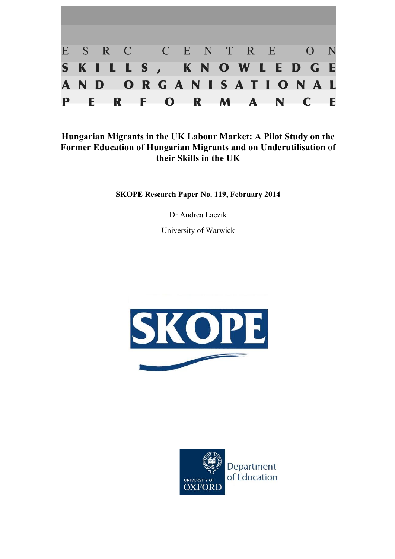

# **Hungarian Migrants in the UK Labour Market: A Pilot Study on the Former Education of Hungarian Migrants and on Underutilisation of their Skills in the UK**

**SKOPE Research Paper No. 119, February 2014**

Dr Andrea Laczik

University of Warwick



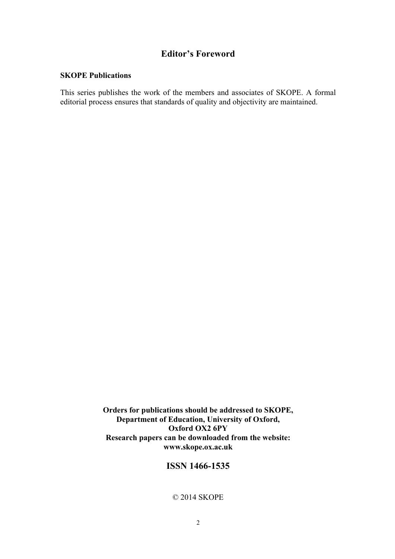## **Editor's Foreword**

#### **SKOPE Publications**

This series publishes the work of the members and associates of SKOPE. A formal editorial process ensures that standards of quality and objectivity are maintained.

> **Orders for publications should be addressed to SKOPE, Department of Education, University of Oxford, Oxford OX2 6PY Research papers can be downloaded from the website: www.skope.ox.ac.uk**

### **ISSN 1466-1535**

### © 2014 SKOPE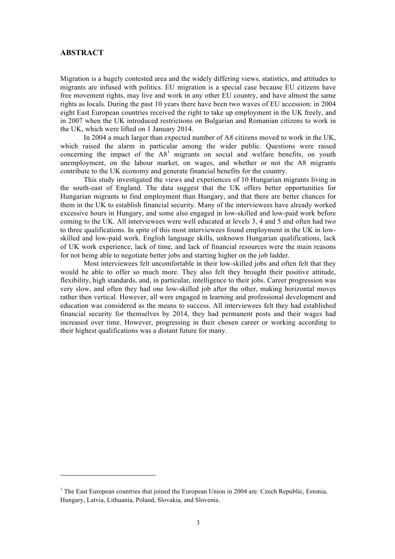#### **ABSTRACT**

<u>.</u>

Migration is a hugely contested area and the widely differing views, statistics, and attitudes to migrants are infused with politics. EU migration is a special case because EU citizens have free movement rights, may live and work in any other EU country, and have almost the same rights as locals. During the past 10 years there have been two waves of EU accession: in 2004 eight East European countries received the right to take up employment in the UK freely, and in 2007 when the UK introduced restrictions on Bulgarian and Romanian citizens to work in the UK, which were lifted on 1 January 2014.

In 2004 a much larger than expected number of A8 citizens moved to work in the UK, which raised the alarm in particular among the wider public. Questions were raised concerning the impact of the  $A8<sup>1</sup>$  migrants on social and welfare benefits, on youth unemployment, on the labour market, on wages, and whether or not the A8 migrants contribute to the UK economy and generate financial benefits for the country.

This study investigated the views and experiences of 10 Hungarian migrants living in the south-east of England. The data suggest that the UK offers better opportunities for Hungarian migrants to find employment than Hungary, and that there are better chances for them in the UK to establish financial security. Many of the interviewees have already worked excessive hours in Hungary, and some also engaged in low-skilled and low-paid work before coming to the UK. All interviewees were well educated at levels 3, 4 and 5 and often had two to three qualifications. In spite of this most interviewees found employment in the UK in lowskilled and low-paid work. English language skills, unknown Hungarian qualifications, lack of UK work experience, lack of time, and lack of financial resources were the main reasons for not being able to negotiate better jobs and starting higher on the job ladder.

Most interviewees felt uncomfortable in their low-skilled jobs and often felt that they would be able to offer so much more. They also felt they brought their positive attitude, flexibility, high standards, and, in particular, intelligence to their jobs. Career progression was very slow, and often they had one low-skilled job after the other, making horizontal moves rather then vertical. However, all were engaged in learning and professional development and education was considered as the means to success. All interviewees felt they had established financial security for themselves by 2014, they had permanent posts and their wages had increased over time. However, progressing in their chosen career or working according to their highest qualifications was a distant future for many.

<sup>&</sup>lt;sup>1</sup> The East European countries that joined the European Union in 2004 are: Czech Republic, Estonia, Hungary, Latvia, Lithuania, Poland, Slovakia, and Slovenia.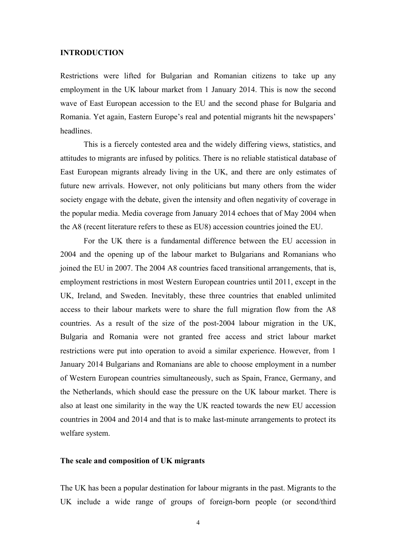#### **INTRODUCTION**

Restrictions were lifted for Bulgarian and Romanian citizens to take up any employment in the UK labour market from 1 January 2014. This is now the second wave of East European accession to the EU and the second phase for Bulgaria and Romania. Yet again, Eastern Europe's real and potential migrants hit the newspapers' headlines.

This is a fiercely contested area and the widely differing views, statistics, and attitudes to migrants are infused by politics. There is no reliable statistical database of East European migrants already living in the UK, and there are only estimates of future new arrivals. However, not only politicians but many others from the wider society engage with the debate, given the intensity and often negativity of coverage in the popular media. Media coverage from January 2014 echoes that of May 2004 when the A8 (recent literature refers to these as EU8) accession countries joined the EU.

For the UK there is a fundamental difference between the EU accession in 2004 and the opening up of the labour market to Bulgarians and Romanians who joined the EU in 2007. The 2004 A8 countries faced transitional arrangements, that is, employment restrictions in most Western European countries until 2011, except in the UK, Ireland, and Sweden. Inevitably, these three countries that enabled unlimited access to their labour markets were to share the full migration flow from the A8 countries. As a result of the size of the post-2004 labour migration in the UK, Bulgaria and Romania were not granted free access and strict labour market restrictions were put into operation to avoid a similar experience. However, from 1 January 2014 Bulgarians and Romanians are able to choose employment in a number of Western European countries simultaneously, such as Spain, France, Germany, and the Netherlands, which should ease the pressure on the UK labour market. There is also at least one similarity in the way the UK reacted towards the new EU accession countries in 2004 and 2014 and that is to make last-minute arrangements to protect its welfare system.

### **The scale and composition of UK migrants**

The UK has been a popular destination for labour migrants in the past. Migrants to the UK include a wide range of groups of foreign-born people (or second/third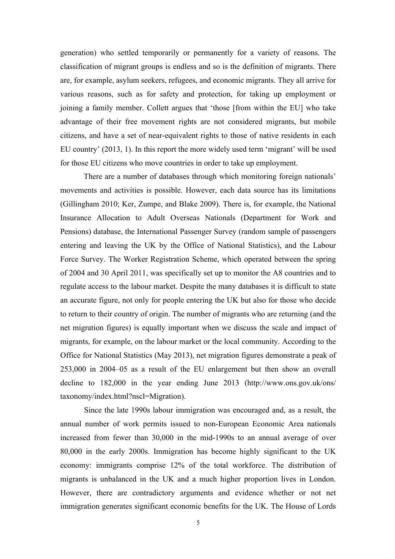generation) who settled temporarily or permanently for a variety of reasons. The classification of migrant groups is endless and so is the definition of migrants. There are, for example, asylum seekers, refugees, and economic migrants. They all arrive for various reasons, such as for safety and protection, for taking up employment or joining a family member. Collett argues that 'those [from within the EU] who take advantage of their free movement rights are not considered migrants, but mobile citizens, and have a set of near-equivalent rights to those of native residents in each EU country' (2013, 1). In this report the more widely used term 'migrant' will be used for those EU citizens who move countries in order to take up employment.

There are a number of databases through which monitoring foreign nationals' movements and activities is possible. However, each data source has its limitations (Gillingham 2010; Ker, Zumpe, and Blake 2009). There is, for example, the National Insurance Allocation to Adult Overseas Nationals (Department for Work and Pensions) database, the International Passenger Survey (random sample of passengers entering and leaving the UK by the Office of National Statistics), and the Labour Force Survey. The Worker Registration Scheme, which operated between the spring of 2004 and 30 April 2011, was specifically set up to monitor the A8 countries and to regulate access to the labour market. Despite the many databases it is difficult to state an accurate figure, not only for people entering the UK but also for those who decide to return to their country of origin. The number of migrants who are returning (and the net migration figures) is equally important when we discuss the scale and impact of migrants, for example, on the labour market or the local community. According to the Office for National Statistics (May 2013), net migration figures demonstrate a peak of 253,000 in 2004–05 as a result of the EU enlargement but then show an overall decline to 182,000 in the year ending June 2013 (http://www.ons.gov.uk/ons/ taxonomy/index.html?nscl=Migration).

Since the late 1990s labour immigration was encouraged and, as a result, the annual number of work permits issued to non-European Economic Area nationals increased from fewer than 30,000 in the mid-1990s to an annual average of over 80,000 in the early 2000s. Immigration has become highly significant to the UK economy: immigrants comprise 12% of the total workforce. The distribution of migrants is unbalanced in the UK and a much higher proportion lives in London. However, there are contradictory arguments and evidence whether or not net immigration generates significant economic benefits for the UK. The House of Lords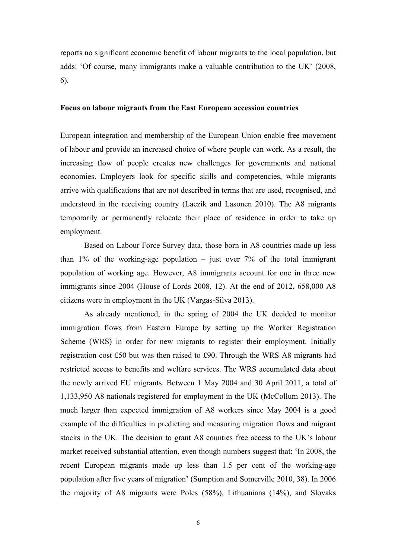reports no significant economic benefit of labour migrants to the local population, but adds: 'Of course, many immigrants make a valuable contribution to the UK' (2008, 6).

#### **Focus on labour migrants from the East European accession countries**

European integration and membership of the European Union enable free movement of labour and provide an increased choice of where people can work. As a result, the increasing flow of people creates new challenges for governments and national economies. Employers look for specific skills and competencies, while migrants arrive with qualifications that are not described in terms that are used, recognised, and understood in the receiving country (Laczik and Lasonen 2010). The A8 migrants temporarily or permanently relocate their place of residence in order to take up employment.

Based on Labour Force Survey data, those born in A8 countries made up less than  $1\%$  of the working-age population – just over  $7\%$  of the total immigrant population of working age. However, A8 immigrants account for one in three new immigrants since 2004 (House of Lords 2008, 12). At the end of 2012, 658,000 A8 citizens were in employment in the UK (Vargas-Silva 2013).

As already mentioned, in the spring of 2004 the UK decided to monitor immigration flows from Eastern Europe by setting up the Worker Registration Scheme (WRS) in order for new migrants to register their employment. Initially registration cost £50 but was then raised to £90. Through the WRS A8 migrants had restricted access to benefits and welfare services. The WRS accumulated data about the newly arrived EU migrants. Between 1 May 2004 and 30 April 2011, a total of 1,133,950 A8 nationals registered for employment in the UK (McCollum 2013). The much larger than expected immigration of A8 workers since May 2004 is a good example of the difficulties in predicting and measuring migration flows and migrant stocks in the UK. The decision to grant A8 counties free access to the UK's labour market received substantial attention, even though numbers suggest that: 'In 2008, the recent European migrants made up less than 1.5 per cent of the working-age population after five years of migration' (Sumption and Somerville 2010, 38). In 2006 the majority of A8 migrants were Poles (58%), Lithuanians (14%), and Slovaks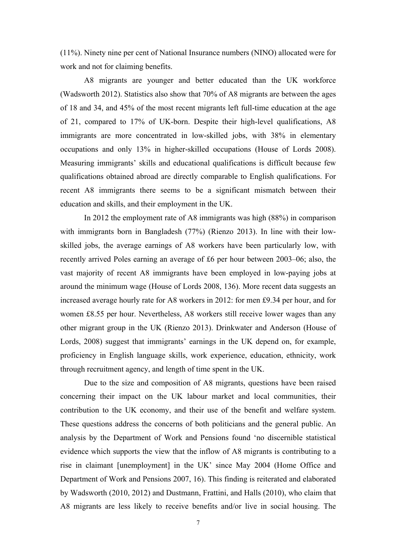(11%). Ninety nine per cent of National Insurance numbers (NINO) allocated were for work and not for claiming benefits.

A8 migrants are younger and better educated than the UK workforce (Wadsworth 2012). Statistics also show that 70% of A8 migrants are between the ages of 18 and 34, and 45% of the most recent migrants left full-time education at the age of 21, compared to 17% of UK-born. Despite their high-level qualifications, A8 immigrants are more concentrated in low-skilled jobs, with 38% in elementary occupations and only 13% in higher-skilled occupations (House of Lords 2008). Measuring immigrants' skills and educational qualifications is difficult because few qualifications obtained abroad are directly comparable to English qualifications. For recent A8 immigrants there seems to be a significant mismatch between their education and skills, and their employment in the UK.

In 2012 the employment rate of A8 immigrants was high (88%) in comparison with immigrants born in Bangladesh (77%) (Rienzo 2013). In line with their lowskilled jobs, the average earnings of A8 workers have been particularly low, with recently arrived Poles earning an average of £6 per hour between 2003–06; also, the vast majority of recent A8 immigrants have been employed in low-paying jobs at around the minimum wage (House of Lords 2008, 136). More recent data suggests an increased average hourly rate for A8 workers in 2012: for men £9.34 per hour, and for women £8.55 per hour. Nevertheless, A8 workers still receive lower wages than any other migrant group in the UK (Rienzo 2013). Drinkwater and Anderson (House of Lords, 2008) suggest that immigrants' earnings in the UK depend on, for example, proficiency in English language skills, work experience, education, ethnicity, work through recruitment agency, and length of time spent in the UK.

Due to the size and composition of A8 migrants, questions have been raised concerning their impact on the UK labour market and local communities, their contribution to the UK economy, and their use of the benefit and welfare system. These questions address the concerns of both politicians and the general public. An analysis by the Department of Work and Pensions found 'no discernible statistical evidence which supports the view that the inflow of A8 migrants is contributing to a rise in claimant [unemployment] in the UK' since May 2004 (Home Office and Department of Work and Pensions 2007, 16). This finding is reiterated and elaborated by Wadsworth (2010, 2012) and Dustmann, Frattini, and Halls (2010), who claim that A8 migrants are less likely to receive benefits and/or live in social housing. The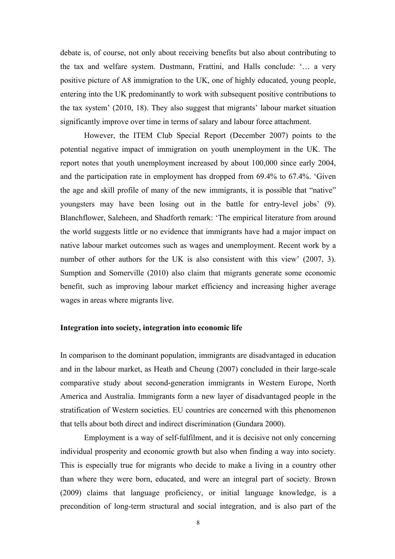debate is, of course, not only about receiving benefits but also about contributing to the tax and welfare system. Dustmann, Frattini, and Halls conclude: '… a very positive picture of A8 immigration to the UK, one of highly educated, young people, entering into the UK predominantly to work with subsequent positive contributions to the tax system' (2010, 18). They also suggest that migrants' labour market situation significantly improve over time in terms of salary and labour force attachment.

However, the ITEM Club Special Report (December 2007) points to the potential negative impact of immigration on youth unemployment in the UK. The report notes that youth unemployment increased by about 100,000 since early 2004, and the participation rate in employment has dropped from 69.4% to 67.4%. 'Given the age and skill profile of many of the new immigrants, it is possible that "native" youngsters may have been losing out in the battle for entry-level jobs' (9). Blanchflower, Saleheen, and Shadforth remark: 'The empirical literature from around the world suggests little or no evidence that immigrants have had a major impact on native labour market outcomes such as wages and unemployment. Recent work by a number of other authors for the UK is also consistent with this view' (2007, 3). Sumption and Somerville (2010) also claim that migrants generate some economic benefit, such as improving labour market efficiency and increasing higher average wages in areas where migrants live.

#### **Integration into society, integration into economic life**

In comparison to the dominant population, immigrants are disadvantaged in education and in the labour market, as Heath and Cheung (2007) concluded in their large-scale comparative study about second-generation immigrants in Western Europe, North America and Australia. Immigrants form a new layer of disadvantaged people in the stratification of Western societies. EU countries are concerned with this phenomenon that tells about both direct and indirect discrimination (Gundara 2000).

Employment is a way of self-fulfilment, and it is decisive not only concerning individual prosperity and economic growth but also when finding a way into society. This is especially true for migrants who decide to make a living in a country other than where they were born, educated, and were an integral part of society. Brown (2009) claims that language proficiency, or initial language knowledge, is a precondition of long-term structural and social integration, and is also part of the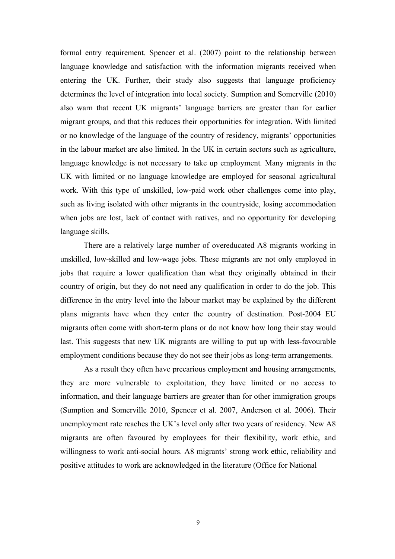formal entry requirement. Spencer et al. (2007) point to the relationship between language knowledge and satisfaction with the information migrants received when entering the UK. Further, their study also suggests that language proficiency determines the level of integration into local society. Sumption and Somerville (2010) also warn that recent UK migrants' language barriers are greater than for earlier migrant groups, and that this reduces their opportunities for integration. With limited or no knowledge of the language of the country of residency, migrants' opportunities in the labour market are also limited. In the UK in certain sectors such as agriculture, language knowledge is not necessary to take up employment*.* Many migrants in the UK with limited or no language knowledge are employed for seasonal agricultural work. With this type of unskilled, low-paid work other challenges come into play, such as living isolated with other migrants in the countryside, losing accommodation when jobs are lost, lack of contact with natives, and no opportunity for developing language skills.

There are a relatively large number of overeducated A8 migrants working in unskilled, low-skilled and low-wage jobs. These migrants are not only employed in jobs that require a lower qualification than what they originally obtained in their country of origin, but they do not need any qualification in order to do the job. This difference in the entry level into the labour market may be explained by the different plans migrants have when they enter the country of destination. Post-2004 EU migrants often come with short-term plans or do not know how long their stay would last. This suggests that new UK migrants are willing to put up with less-favourable employment conditions because they do not see their jobs as long-term arrangements.

As a result they often have precarious employment and housing arrangements, they are more vulnerable to exploitation, they have limited or no access to information, and their language barriers are greater than for other immigration groups (Sumption and Somerville 2010, Spencer et al. 2007, Anderson et al. 2006). Their unemployment rate reaches the UK's level only after two years of residency. New A8 migrants are often favoured by employees for their flexibility, work ethic, and willingness to work anti-social hours. A8 migrants' strong work ethic, reliability and positive attitudes to work are acknowledged in the literature (Office for National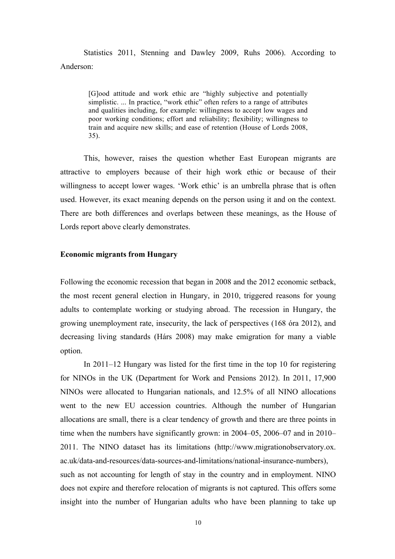Statistics 2011, Stenning and Dawley 2009, Ruhs 2006). According to Anderson:

> [G]ood attitude and work ethic are "highly subjective and potentially simplistic. ... In practice, "work ethic" often refers to a range of attributes and qualities including, for example: willingness to accept low wages and poor working conditions; effort and reliability; flexibility; willingness to train and acquire new skills; and ease of retention (House of Lords 2008, 35).

This, however, raises the question whether East European migrants are attractive to employers because of their high work ethic or because of their willingness to accept lower wages. 'Work ethic' is an umbrella phrase that is often used. However, its exact meaning depends on the person using it and on the context. There are both differences and overlaps between these meanings, as the House of Lords report above clearly demonstrates.

#### **Economic migrants from Hungary**

Following the economic recession that began in 2008 and the 2012 economic setback, the most recent general election in Hungary, in 2010, triggered reasons for young adults to contemplate working or studying abroad. The recession in Hungary, the growing unemployment rate, insecurity, the lack of perspectives (168 óra 2012), and decreasing living standards (Hárs 2008) may make emigration for many a viable option.

In 2011–12 Hungary was listed for the first time in the top 10 for registering for NINOs in the UK (Department for Work and Pensions 2012). In 2011, 17,900 NINOs were allocated to Hungarian nationals, and 12.5% of all NINO allocations went to the new EU accession countries. Although the number of Hungarian allocations are small, there is a clear tendency of growth and there are three points in time when the numbers have significantly grown: in 2004–05, 2006–07 and in 2010– 2011. The NINO dataset has its limitations (http://www.migrationobservatory.ox. ac.uk/data-and-resources/data-sources-and-limitations/national-insurance-numbers), such as not accounting for length of stay in the country and in employment. NINO does not expire and therefore relocation of migrants is not captured. This offers some insight into the number of Hungarian adults who have been planning to take up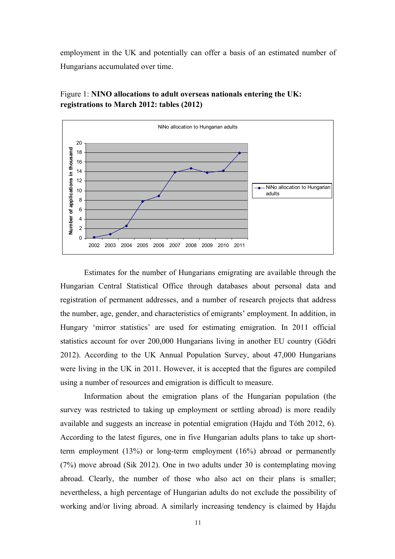employment in the UK and potentially can offer a basis of an estimated number of Hungarians accumulated over time.



Figure 1: **NINO allocations to adult overseas nationals entering the UK: registrations to March 2012: tables (2012)**

Estimates for the number of Hungarians emigrating are available through the Hungarian Central Statistical Office through databases about personal data and registration of permanent addresses, and a number of research projects that address the number, age, gender, and characteristics of emigrants' employment. In addition, in Hungary 'mirror statistics' are used for estimating emigration. In 2011 official statistics account for over 200,000 Hungarians living in another EU country (Gödri 2012). According to the UK Annual Population Survey, about 47,000 Hungarians were living in the UK in 2011. However, it is accepted that the figures are compiled using a number of resources and emigration is difficult to measure.

Information about the emigration plans of the Hungarian population (the survey was restricted to taking up employment or settling abroad) is more readily available and suggests an increase in potential emigration (Hajdu and Tóth 2012, 6). According to the latest figures, one in five Hungarian adults plans to take up shortterm employment (13%) or long-term employment (16%) abroad or permanently (7%) move abroad (Sik 2012). One in two adults under 30 is contemplating moving abroad. Clearly, the number of those who also act on their plans is smaller; nevertheless, a high percentage of Hungarian adults do not exclude the possibility of working and/or living abroad. A similarly increasing tendency is claimed by Hajdu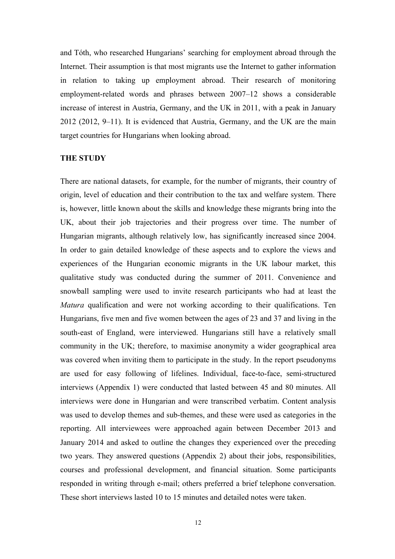and Tóth, who researched Hungarians' searching for employment abroad through the Internet. Their assumption is that most migrants use the Internet to gather information in relation to taking up employment abroad. Their research of monitoring employment-related words and phrases between 2007–12 shows a considerable increase of interest in Austria, Germany, and the UK in 2011, with a peak in January 2012 (2012, 9–11). It is evidenced that Austria, Germany, and the UK are the main target countries for Hungarians when looking abroad.

#### **THE STUDY**

There are national datasets, for example, for the number of migrants, their country of origin, level of education and their contribution to the tax and welfare system. There is, however, little known about the skills and knowledge these migrants bring into the UK, about their job trajectories and their progress over time. The number of Hungarian migrants, although relatively low, has significantly increased since 2004. In order to gain detailed knowledge of these aspects and to explore the views and experiences of the Hungarian economic migrants in the UK labour market, this qualitative study was conducted during the summer of 2011. Convenience and snowball sampling were used to invite research participants who had at least the *Matura* qualification and were not working according to their qualifications. Ten Hungarians, five men and five women between the ages of 23 and 37 and living in the south-east of England, were interviewed. Hungarians still have a relatively small community in the UK; therefore, to maximise anonymity a wider geographical area was covered when inviting them to participate in the study. In the report pseudonyms are used for easy following of lifelines. Individual, face-to-face, semi-structured interviews (Appendix 1) were conducted that lasted between 45 and 80 minutes. All interviews were done in Hungarian and were transcribed verbatim. Content analysis was used to develop themes and sub-themes, and these were used as categories in the reporting. All interviewees were approached again between December 2013 and January 2014 and asked to outline the changes they experienced over the preceding two years. They answered questions (Appendix 2) about their jobs, responsibilities, courses and professional development, and financial situation. Some participants responded in writing through e-mail; others preferred a brief telephone conversation. These short interviews lasted 10 to 15 minutes and detailed notes were taken.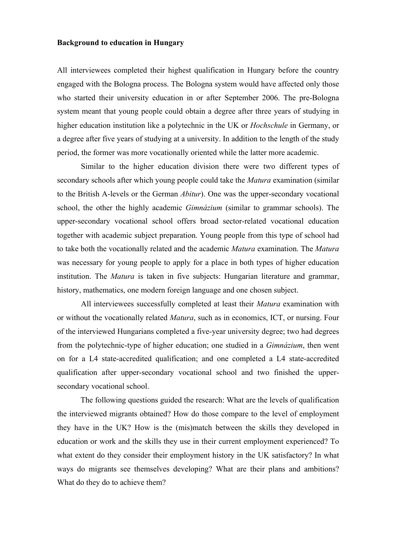#### **Background to education in Hungary**

All interviewees completed their highest qualification in Hungary before the country engaged with the Bologna process. The Bologna system would have affected only those who started their university education in or after September 2006. The pre-Bologna system meant that young people could obtain a degree after three years of studying in higher education institution like a polytechnic in the UK or *Hochschule* in Germany, or a degree after five years of studying at a university. In addition to the length of the study period, the former was more vocationally oriented while the latter more academic.

Similar to the higher education division there were two different types of secondary schools after which young people could take the *Matura* examination (similar to the British A-levels or the German *Abitur*). One was the upper-secondary vocational school, the other the highly academic *Gimnázium* (similar to grammar schools). The upper-secondary vocational school offers broad sector-related vocational education together with academic subject preparation. Young people from this type of school had to take both the vocationally related and the academic *Matura* examination. The *Matura* was necessary for young people to apply for a place in both types of higher education institution. The *Matura* is taken in five subjects: Hungarian literature and grammar, history, mathematics, one modern foreign language and one chosen subject.

All interviewees successfully completed at least their *Matura* examination with or without the vocationally related *Matura*, such as in economics, ICT, or nursing. Four of the interviewed Hungarians completed a five-year university degree; two had degrees from the polytechnic-type of higher education; one studied in a *Gimnázium*, then went on for a L4 state-accredited qualification; and one completed a L4 state-accredited qualification after upper-secondary vocational school and two finished the uppersecondary vocational school.

The following questions guided the research: What are the levels of qualification the interviewed migrants obtained? How do those compare to the level of employment they have in the UK? How is the (mis)match between the skills they developed in education or work and the skills they use in their current employment experienced? To what extent do they consider their employment history in the UK satisfactory? In what ways do migrants see themselves developing? What are their plans and ambitions? What do they do to achieve them?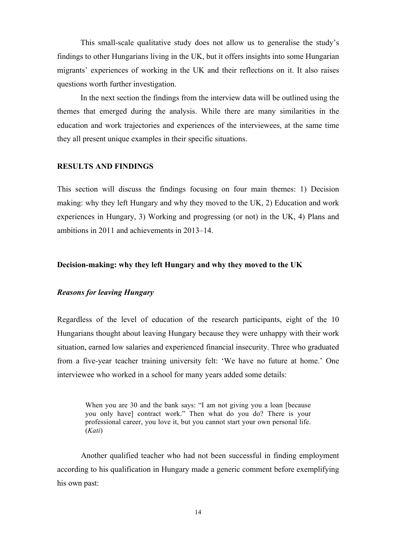This small-scale qualitative study does not allow us to generalise the study's findings to other Hungarians living in the UK, but it offers insights into some Hungarian migrants' experiences of working in the UK and their reflections on it. It also raises questions worth further investigation.

In the next section the findings from the interview data will be outlined using the themes that emerged during the analysis. While there are many similarities in the education and work trajectories and experiences of the interviewees, at the same time they all present unique examples in their specific situations.

#### **RESULTS AND FINDINGS**

This section will discuss the findings focusing on four main themes: 1) Decision making: why they left Hungary and why they moved to the UK, 2) Education and work experiences in Hungary, 3) Working and progressing (or not) in the UK, 4) Plans and ambitions in 2011 and achievements in 2013–14.

#### **Decision-making: why they left Hungary and why they moved to the UK**

#### *Reasons for leaving Hungary*

Regardless of the level of education of the research participants, eight of the 10 Hungarians thought about leaving Hungary because they were unhappy with their work situation, earned low salaries and experienced financial insecurity. Three who graduated from a five-year teacher training university felt: 'We have no future at home.' One interviewee who worked in a school for many years added some details:

When you are 30 and the bank says: "I am not giving you a loan [because you only have] contract work." Then what do you do? There is your professional career, you love it, but you cannot start your own personal life. (*Kati*)

Another qualified teacher who had not been successful in finding employment according to his qualification in Hungary made a generic comment before exemplifying his own past: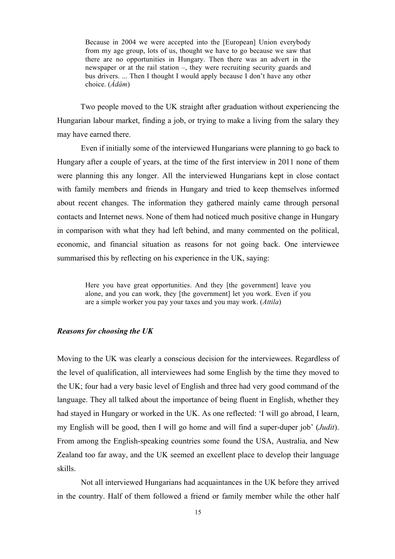Because in 2004 we were accepted into the [European] Union everybody from my age group, lots of us, thought we have to go because we saw that there are no opportunities in Hungary. Then there was an advert in the newspaper or at the rail station –, they were recruiting security guards and bus drivers. ... Then I thought I would apply because I don't have any other choice. (*Ádám*)

Two people moved to the UK straight after graduation without experiencing the Hungarian labour market, finding a job, or trying to make a living from the salary they may have earned there.

Even if initially some of the interviewed Hungarians were planning to go back to Hungary after a couple of years, at the time of the first interview in 2011 none of them were planning this any longer. All the interviewed Hungarians kept in close contact with family members and friends in Hungary and tried to keep themselves informed about recent changes. The information they gathered mainly came through personal contacts and Internet news. None of them had noticed much positive change in Hungary in comparison with what they had left behind, and many commented on the political, economic, and financial situation as reasons for not going back. One interviewee summarised this by reflecting on his experience in the UK, saying:

Here you have great opportunities. And they [the government] leave you alone, and you can work, they [the government] let you work. Even if you are a simple worker you pay your taxes and you may work. (*Attila*)

#### *Reasons for choosing the UK*

Moving to the UK was clearly a conscious decision for the interviewees. Regardless of the level of qualification, all interviewees had some English by the time they moved to the UK; four had a very basic level of English and three had very good command of the language. They all talked about the importance of being fluent in English, whether they had stayed in Hungary or worked in the UK. As one reflected: 'I will go abroad, I learn, my English will be good, then I will go home and will find a super-duper job' (*Judit*). From among the English-speaking countries some found the USA, Australia, and New Zealand too far away, and the UK seemed an excellent place to develop their language skills.

Not all interviewed Hungarians had acquaintances in the UK before they arrived in the country. Half of them followed a friend or family member while the other half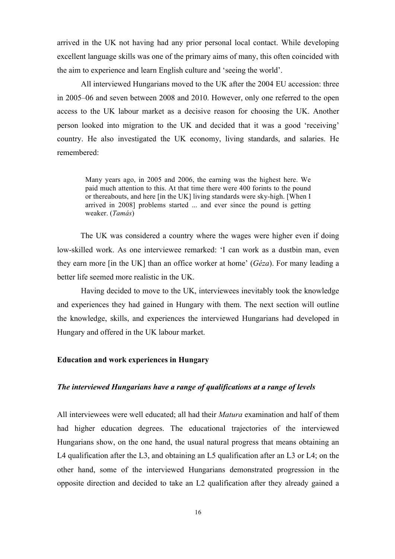arrived in the UK not having had any prior personal local contact. While developing excellent language skills was one of the primary aims of many, this often coincided with the aim to experience and learn English culture and 'seeing the world'.

All interviewed Hungarians moved to the UK after the 2004 EU accession: three in 2005–06 and seven between 2008 and 2010. However, only one referred to the open access to the UK labour market as a decisive reason for choosing the UK. Another person looked into migration to the UK and decided that it was a good 'receiving' country. He also investigated the UK economy, living standards, and salaries. He remembered:

Many years ago, in 2005 and 2006, the earning was the highest here. We paid much attention to this. At that time there were 400 forints to the pound or thereabouts, and here [in the UK] living standards were sky-high. [When I arrived in 2008] problems started ... and ever since the pound is getting weaker. (*Tamás*)

The UK was considered a country where the wages were higher even if doing low-skilled work. As one interviewee remarked: 'I can work as a dustbin man, even they earn more [in the UK] than an office worker at home' (*Géza*). For many leading a better life seemed more realistic in the UK.

Having decided to move to the UK, interviewees inevitably took the knowledge and experiences they had gained in Hungary with them. The next section will outline the knowledge, skills, and experiences the interviewed Hungarians had developed in Hungary and offered in the UK labour market.

### **Education and work experiences in Hungary**

#### *The interviewed Hungarians have a range of qualifications at a range of levels*

All interviewees were well educated; all had their *Matura* examination and half of them had higher education degrees. The educational trajectories of the interviewed Hungarians show, on the one hand, the usual natural progress that means obtaining an L4 qualification after the L3, and obtaining an L5 qualification after an L3 or L4; on the other hand, some of the interviewed Hungarians demonstrated progression in the opposite direction and decided to take an L2 qualification after they already gained a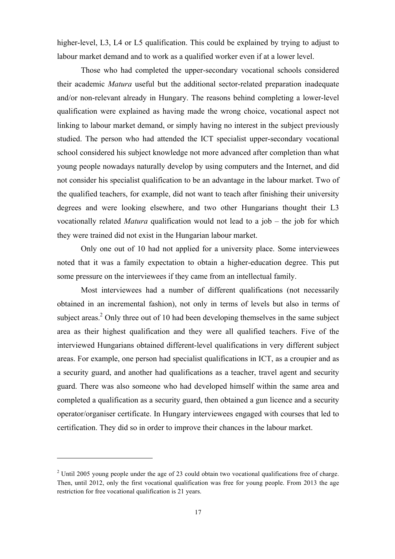higher-level, L3, L4 or L5 qualification. This could be explained by trying to adjust to labour market demand and to work as a qualified worker even if at a lower level.

Those who had completed the upper-secondary vocational schools considered their academic *Matura* useful but the additional sector-related preparation inadequate and/or non-relevant already in Hungary. The reasons behind completing a lower-level qualification were explained as having made the wrong choice, vocational aspect not linking to labour market demand, or simply having no interest in the subject previously studied. The person who had attended the ICT specialist upper-secondary vocational school considered his subject knowledge not more advanced after completion than what young people nowadays naturally develop by using computers and the Internet, and did not consider his specialist qualification to be an advantage in the labour market. Two of the qualified teachers, for example, did not want to teach after finishing their university degrees and were looking elsewhere, and two other Hungarians thought their L3 vocationally related *Matura* qualification would not lead to a job – the job for which they were trained did not exist in the Hungarian labour market.

Only one out of 10 had not applied for a university place. Some interviewees noted that it was a family expectation to obtain a higher-education degree. This put some pressure on the interviewees if they came from an intellectual family.

Most interviewees had a number of different qualifications (not necessarily obtained in an incremental fashion), not only in terms of levels but also in terms of subject areas.<sup>2</sup> Only three out of 10 had been developing themselves in the same subject area as their highest qualification and they were all qualified teachers. Five of the interviewed Hungarians obtained different-level qualifications in very different subject areas. For example, one person had specialist qualifications in ICT, as a croupier and as a security guard, and another had qualifications as a teacher, travel agent and security guard. There was also someone who had developed himself within the same area and completed a qualification as a security guard, then obtained a gun licence and a security operator/organiser certificate. In Hungary interviewees engaged with courses that led to certification. They did so in order to improve their chances in the labour market.

 $\overline{a}$ 

<sup>&</sup>lt;sup>2</sup> Until 2005 young people under the age of 23 could obtain two vocational qualifications free of charge. Then, until 2012, only the first vocational qualification was free for young people. From 2013 the age restriction for free vocational qualification is 21 years.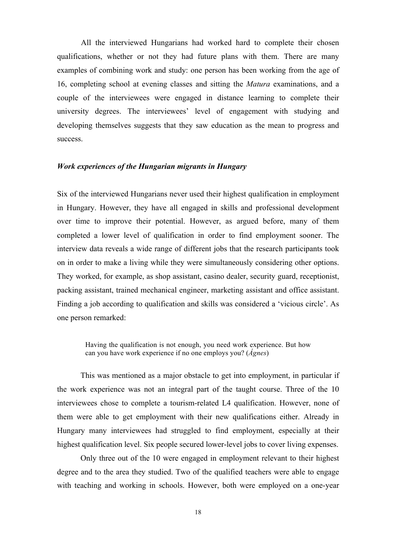All the interviewed Hungarians had worked hard to complete their chosen qualifications, whether or not they had future plans with them. There are many examples of combining work and study: one person has been working from the age of 16, completing school at evening classes and sitting the *Matura* examinations, and a couple of the interviewees were engaged in distance learning to complete their university degrees. The interviewees' level of engagement with studying and developing themselves suggests that they saw education as the mean to progress and success.

#### *Work experiences of the Hungarian migrants in Hungary*

Six of the interviewed Hungarians never used their highest qualification in employment in Hungary. However, they have all engaged in skills and professional development over time to improve their potential. However, as argued before, many of them completed a lower level of qualification in order to find employment sooner. The interview data reveals a wide range of different jobs that the research participants took on in order to make a living while they were simultaneously considering other options. They worked, for example, as shop assistant, casino dealer, security guard, receptionist, packing assistant, trained mechanical engineer, marketing assistant and office assistant. Finding a job according to qualification and skills was considered a 'vicious circle'. As one person remarked:

Having the qualification is not enough, you need work experience. But how can you have work experience if no one employs you? (*Ágnes*)

This was mentioned as a major obstacle to get into employment, in particular if the work experience was not an integral part of the taught course. Three of the 10 interviewees chose to complete a tourism-related L4 qualification. However, none of them were able to get employment with their new qualifications either. Already in Hungary many interviewees had struggled to find employment, especially at their highest qualification level. Six people secured lower-level jobs to cover living expenses.

Only three out of the 10 were engaged in employment relevant to their highest degree and to the area they studied. Two of the qualified teachers were able to engage with teaching and working in schools. However, both were employed on a one-year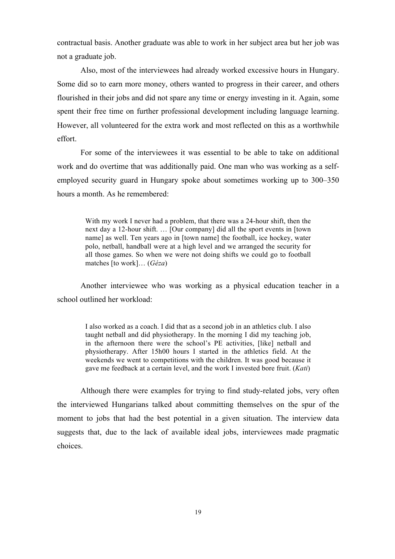contractual basis. Another graduate was able to work in her subject area but her job was not a graduate job.

Also, most of the interviewees had already worked excessive hours in Hungary. Some did so to earn more money, others wanted to progress in their career, and others flourished in their jobs and did not spare any time or energy investing in it. Again, some spent their free time on further professional development including language learning. However, all volunteered for the extra work and most reflected on this as a worthwhile effort.

For some of the interviewees it was essential to be able to take on additional work and do overtime that was additionally paid. One man who was working as a selfemployed security guard in Hungary spoke about sometimes working up to 300–350 hours a month. As he remembered:

With my work I never had a problem, that there was a 24-hour shift, then the next day a 12-hour shift. … [Our company] did all the sport events in [town name] as well. Ten years ago in [town name] the football, ice hockey, water polo, netball, handball were at a high level and we arranged the security for all those games. So when we were not doing shifts we could go to football matches [to work]… (*Géza*)

Another interviewee who was working as a physical education teacher in a school outlined her workload:

I also worked as a coach. I did that as a second job in an athletics club. I also taught netball and did physiotherapy. In the morning I did my teaching job, in the afternoon there were the school's PE activities, [like] netball and physiotherapy. After 15h00 hours I started in the athletics field. At the weekends we went to competitions with the children. It was good because it gave me feedback at a certain level, and the work I invested bore fruit. (*Kati*)

Although there were examples for trying to find study-related jobs, very often the interviewed Hungarians talked about committing themselves on the spur of the moment to jobs that had the best potential in a given situation. The interview data suggests that, due to the lack of available ideal jobs, interviewees made pragmatic choices.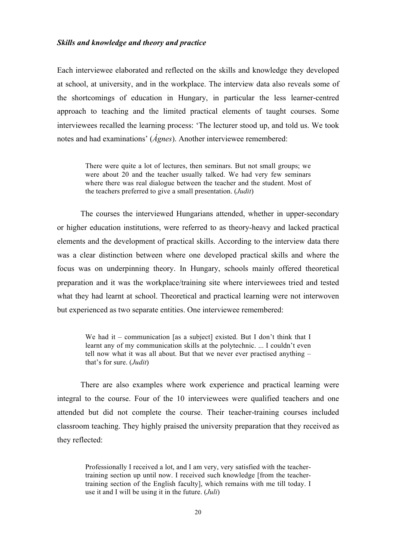#### *Skills and knowledge and theory and practice*

Each interviewee elaborated and reflected on the skills and knowledge they developed at school, at university, and in the workplace. The interview data also reveals some of the shortcomings of education in Hungary, in particular the less learner-centred approach to teaching and the limited practical elements of taught courses. Some interviewees recalled the learning process: 'The lecturer stood up, and told us. We took notes and had examinations' (*Ágnes*). Another interviewee remembered:

There were quite a lot of lectures, then seminars. But not small groups; we were about 20 and the teacher usually talked. We had very few seminars where there was real dialogue between the teacher and the student. Most of the teachers preferred to give a small presentation. (*Judit*)

The courses the interviewed Hungarians attended, whether in upper-secondary or higher education institutions, were referred to as theory-heavy and lacked practical elements and the development of practical skills. According to the interview data there was a clear distinction between where one developed practical skills and where the focus was on underpinning theory. In Hungary, schools mainly offered theoretical preparation and it was the workplace/training site where interviewees tried and tested what they had learnt at school. Theoretical and practical learning were not interwoven but experienced as two separate entities. One interviewee remembered:

We had it – communication [as a subject] existed. But I don't think that I learnt any of my communication skills at the polytechnic. ... I couldn't even tell now what it was all about. But that we never ever practised anything – that's for sure. (*Judit*)

There are also examples where work experience and practical learning were integral to the course. Four of the 10 interviewees were qualified teachers and one attended but did not complete the course. Their teacher-training courses included classroom teaching. They highly praised the university preparation that they received as they reflected:

Professionally I received a lot, and I am very, very satisfied with the teachertraining section up until now. I received such knowledge [from the teachertraining section of the English faculty], which remains with me till today. I use it and I will be using it in the future. (*Juli*)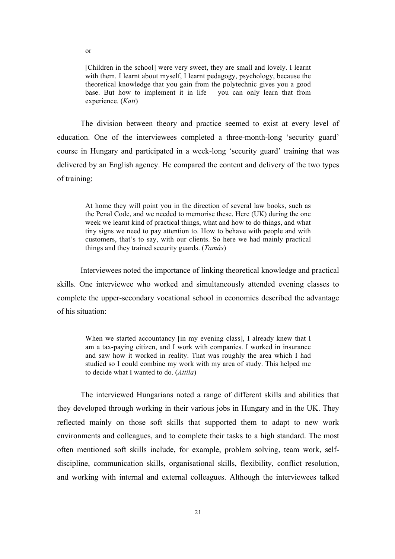[Children in the school] were very sweet, they are small and lovely. I learnt with them. I learnt about myself, I learnt pedagogy, psychology, because the theoretical knowledge that you gain from the polytechnic gives you a good base. But how to implement it in life – you can only learn that from experience. (*Kati*)

The division between theory and practice seemed to exist at every level of education. One of the interviewees completed a three-month-long 'security guard' course in Hungary and participated in a week-long 'security guard' training that was delivered by an English agency. He compared the content and delivery of the two types of training:

At home they will point you in the direction of several law books, such as the Penal Code, and we needed to memorise these. Here (UK) during the one week we learnt kind of practical things, what and how to do things, and what tiny signs we need to pay attention to. How to behave with people and with customers, that's to say, with our clients. So here we had mainly practical things and they trained security guards. (*Tamás*)

Interviewees noted the importance of linking theoretical knowledge and practical skills. One interviewee who worked and simultaneously attended evening classes to complete the upper-secondary vocational school in economics described the advantage of his situation:

When we started accountancy [in my evening class], I already knew that I am a tax-paying citizen, and I work with companies. I worked in insurance and saw how it worked in reality. That was roughly the area which I had studied so I could combine my work with my area of study. This helped me to decide what I wanted to do. (*Attila*)

The interviewed Hungarians noted a range of different skills and abilities that they developed through working in their various jobs in Hungary and in the UK. They reflected mainly on those soft skills that supported them to adapt to new work environments and colleagues, and to complete their tasks to a high standard. The most often mentioned soft skills include, for example, problem solving, team work, selfdiscipline, communication skills, organisational skills, flexibility, conflict resolution, and working with internal and external colleagues. Although the interviewees talked

or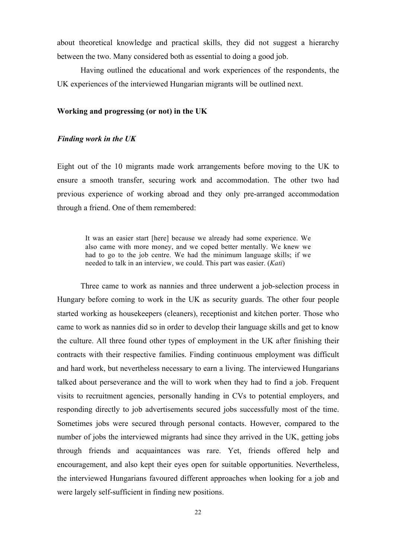about theoretical knowledge and practical skills, they did not suggest a hierarchy between the two. Many considered both as essential to doing a good job.

Having outlined the educational and work experiences of the respondents, the UK experiences of the interviewed Hungarian migrants will be outlined next.

#### **Working and progressing (or not) in the UK**

#### *Finding work in the UK*

Eight out of the 10 migrants made work arrangements before moving to the UK to ensure a smooth transfer, securing work and accommodation. The other two had previous experience of working abroad and they only pre-arranged accommodation through a friend. One of them remembered:

It was an easier start [here] because we already had some experience. We also came with more money, and we coped better mentally. We knew we had to go to the job centre. We had the minimum language skills; if we needed to talk in an interview, we could. This part was easier. (*Kati*)

Three came to work as nannies and three underwent a job-selection process in Hungary before coming to work in the UK as security guards. The other four people started working as housekeepers (cleaners), receptionist and kitchen porter. Those who came to work as nannies did so in order to develop their language skills and get to know the culture. All three found other types of employment in the UK after finishing their contracts with their respective families. Finding continuous employment was difficult and hard work, but nevertheless necessary to earn a living. The interviewed Hungarians talked about perseverance and the will to work when they had to find a job. Frequent visits to recruitment agencies, personally handing in CVs to potential employers, and responding directly to job advertisements secured jobs successfully most of the time. Sometimes jobs were secured through personal contacts. However, compared to the number of jobs the interviewed migrants had since they arrived in the UK, getting jobs through friends and acquaintances was rare. Yet, friends offered help and encouragement, and also kept their eyes open for suitable opportunities. Nevertheless, the interviewed Hungarians favoured different approaches when looking for a job and were largely self-sufficient in finding new positions.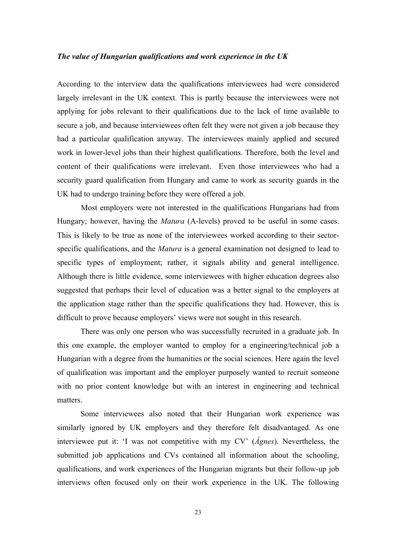### *The value of Hungarian qualifications and work experience in the UK*

According to the interview data the qualifications interviewees had were considered largely irrelevant in the UK context. This is partly because the interviewees were not applying for jobs relevant to their qualifications due to the lack of time available to secure a job, and because interviewees often felt they were not given a job because they had a particular qualification anyway. The interviewees mainly applied and secured work in lower-level jobs than their highest qualifications. Therefore, both the level and content of their qualifications were irrelevant. Even those interviewees who had a security guard qualification from Hungary and came to work as security guards in the UK had to undergo training before they were offered a job.

Most employers were not interested in the qualifications Hungarians had from Hungary; however, having the *Matura* (A-levels) proved to be useful in some cases. This is likely to be true as none of the interviewees worked according to their sectorspecific qualifications, and the *Matura* is a general examination not designed to lead to specific types of employment; rather, it signals ability and general intelligence. Although there is little evidence, some interviewees with higher education degrees also suggested that perhaps their level of education was a better signal to the employers at the application stage rather than the specific qualifications they had. However, this is difficult to prove because employers' views were not sought in this research.

There was only one person who was successfully recruited in a graduate job. In this one example, the employer wanted to employ for a engineering/technical job a Hungarian with a degree from the humanities or the social sciences. Here again the level of qualification was important and the employer purposely wanted to recruit someone with no prior content knowledge but with an interest in engineering and technical matters.

Some interviewees also noted that their Hungarian work experience was similarly ignored by UK employers and they therefore felt disadvantaged. As one interviewee put it: 'I was not competitive with my CV' (*Ágnes*). Nevertheless, the submitted job applications and CVs contained all information about the schooling, qualifications, and work experiences of the Hungarian migrants but their follow-up job interviews often focused only on their work experience in the UK. The following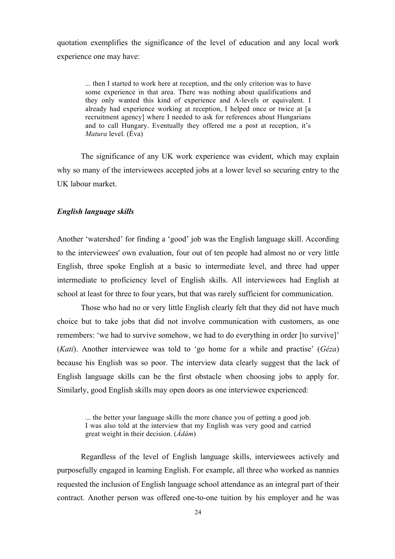quotation exemplifies the significance of the level of education and any local work experience one may have:

... then I started to work here at reception, and the only criterion was to have some experience in that area. There was nothing about qualifications and they only wanted this kind of experience and A-levels or equivalent. I already had experience working at reception, I helped once or twice at [a recruitment agency] where I needed to ask for references about Hungarians and to call Hungary. Eventually they offered me a post at reception, it's *Matura* level. (Éva)

The significance of any UK work experience was evident, which may explain why so many of the interviewees accepted jobs at a lower level so securing entry to the UK labour market.

#### *English language skills*

Another 'watershed' for finding a 'good' job was the English language skill. According to the interviewees' own evaluation, four out of ten people had almost no or very little English, three spoke English at a basic to intermediate level, and three had upper intermediate to proficiency level of English skills. All interviewees had English at school at least for three to four years, but that was rarely sufficient for communication.

Those who had no or very little English clearly felt that they did not have much choice but to take jobs that did not involve communication with customers, as one remembers: 'we had to survive somehow, we had to do everything in order [to survive]' (*Kati*). Another interviewee was told to 'go home for a while and practise' (*Géza*) because his English was so poor. The interview data clearly suggest that the lack of English language skills can be the first obstacle when choosing jobs to apply for. Similarly, good English skills may open doors as one interviewee experienced:

... the better your language skills the more chance you of getting a good job. I was also told at the interview that my English was very good and carried great weight in their decision. (*Ádám*)

Regardless of the level of English language skills, interviewees actively and purposefully engaged in learning English. For example, all three who worked as nannies requested the inclusion of English language school attendance as an integral part of their contract. Another person was offered one-to-one tuition by his employer and he was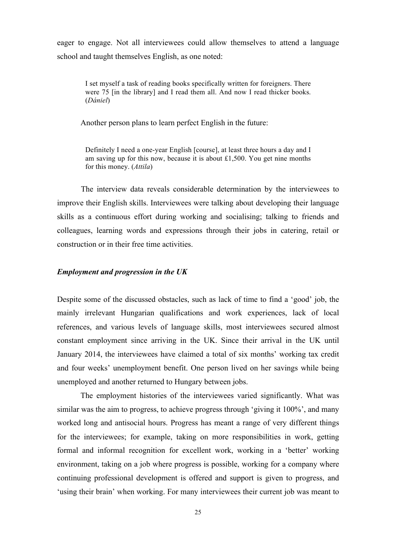eager to engage. Not all interviewees could allow themselves to attend a language school and taught themselves English, as one noted:

I set myself a task of reading books specifically written for foreigners. There were 75 [in the library] and I read them all. And now I read thicker books. (*Dániel*)

Another person plans to learn perfect English in the future:

Definitely I need a one-year English [course], at least three hours a day and I am saving up for this now, because it is about £1,500. You get nine months for this money. (*Attila*)

The interview data reveals considerable determination by the interviewees to improve their English skills. Interviewees were talking about developing their language skills as a continuous effort during working and socialising; talking to friends and colleagues, learning words and expressions through their jobs in catering, retail or construction or in their free time activities.

#### *Employment and progression in the UK*

Despite some of the discussed obstacles, such as lack of time to find a 'good' job, the mainly irrelevant Hungarian qualifications and work experiences, lack of local references, and various levels of language skills, most interviewees secured almost constant employment since arriving in the UK. Since their arrival in the UK until January 2014, the interviewees have claimed a total of six months' working tax credit and four weeks' unemployment benefit. One person lived on her savings while being unemployed and another returned to Hungary between jobs.

The employment histories of the interviewees varied significantly. What was similar was the aim to progress, to achieve progress through 'giving it 100%', and many worked long and antisocial hours. Progress has meant a range of very different things for the interviewees; for example, taking on more responsibilities in work, getting formal and informal recognition for excellent work, working in a 'better' working environment, taking on a job where progress is possible, working for a company where continuing professional development is offered and support is given to progress, and 'using their brain' when working. For many interviewees their current job was meant to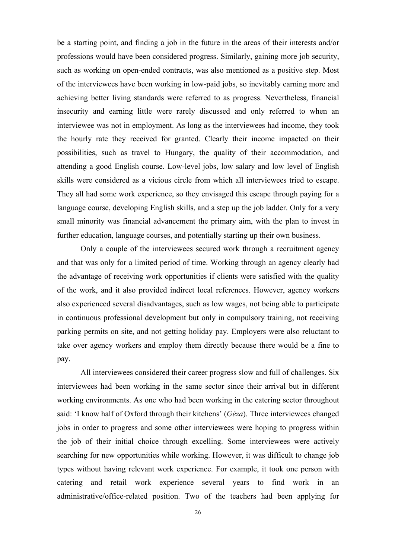be a starting point, and finding a job in the future in the areas of their interests and/or professions would have been considered progress. Similarly, gaining more job security, such as working on open-ended contracts, was also mentioned as a positive step. Most of the interviewees have been working in low-paid jobs, so inevitably earning more and achieving better living standards were referred to as progress. Nevertheless, financial insecurity and earning little were rarely discussed and only referred to when an interviewee was not in employment. As long as the interviewees had income, they took the hourly rate they received for granted. Clearly their income impacted on their possibilities, such as travel to Hungary, the quality of their accommodation, and attending a good English course. Low-level jobs, low salary and low level of English skills were considered as a vicious circle from which all interviewees tried to escape. They all had some work experience, so they envisaged this escape through paying for a language course, developing English skills, and a step up the job ladder. Only for a very small minority was financial advancement the primary aim, with the plan to invest in further education, language courses, and potentially starting up their own business.

Only a couple of the interviewees secured work through a recruitment agency and that was only for a limited period of time. Working through an agency clearly had the advantage of receiving work opportunities if clients were satisfied with the quality of the work, and it also provided indirect local references. However, agency workers also experienced several disadvantages, such as low wages, not being able to participate in continuous professional development but only in compulsory training, not receiving parking permits on site, and not getting holiday pay. Employers were also reluctant to take over agency workers and employ them directly because there would be a fine to pay.

All interviewees considered their career progress slow and full of challenges. Six interviewees had been working in the same sector since their arrival but in different working environments. As one who had been working in the catering sector throughout said: 'I know half of Oxford through their kitchens' (*Géza*). Three interviewees changed jobs in order to progress and some other interviewees were hoping to progress within the job of their initial choice through excelling. Some interviewees were actively searching for new opportunities while working. However, it was difficult to change job types without having relevant work experience. For example, it took one person with catering and retail work experience several years to find work in an administrative/office-related position. Two of the teachers had been applying for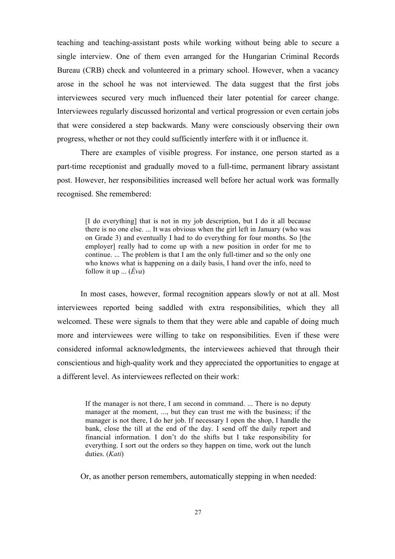teaching and teaching-assistant posts while working without being able to secure a single interview. One of them even arranged for the Hungarian Criminal Records Bureau (CRB) check and volunteered in a primary school. However, when a vacancy arose in the school he was not interviewed. The data suggest that the first jobs interviewees secured very much influenced their later potential for career change. Interviewees regularly discussed horizontal and vertical progression or even certain jobs that were considered a step backwards. Many were consciously observing their own progress, whether or not they could sufficiently interfere with it or influence it.

There are examples of visible progress. For instance, one person started as a part-time receptionist and gradually moved to a full-time, permanent library assistant post. However, her responsibilities increased well before her actual work was formally recognised. She remembered:

[I do everything] that is not in my job description, but I do it all because there is no one else. ... It was obvious when the girl left in January (who was on Grade 3) and eventually I had to do everything for four months. So [the employer] really had to come up with a new position in order for me to continue. ... The problem is that I am the only full-timer and so the only one who knows what is happening on a daily basis, I hand over the info, need to follow it up ... (*Éva*)

In most cases, however, formal recognition appears slowly or not at all. Most interviewees reported being saddled with extra responsibilities, which they all welcomed. These were signals to them that they were able and capable of doing much more and interviewees were willing to take on responsibilities. Even if these were considered informal acknowledgments, the interviewees achieved that through their conscientious and high-quality work and they appreciated the opportunities to engage at a different level. As interviewees reflected on their work:

If the manager is not there, I am second in command. ... There is no deputy manager at the moment, ..., but they can trust me with the business; if the manager is not there, I do her job. If necessary I open the shop, I handle the bank, close the till at the end of the day. I send off the daily report and financial information. I don't do the shifts but I take responsibility for everything. I sort out the orders so they happen on time, work out the lunch duties. (*Kati*)

Or, as another person remembers, automatically stepping in when needed: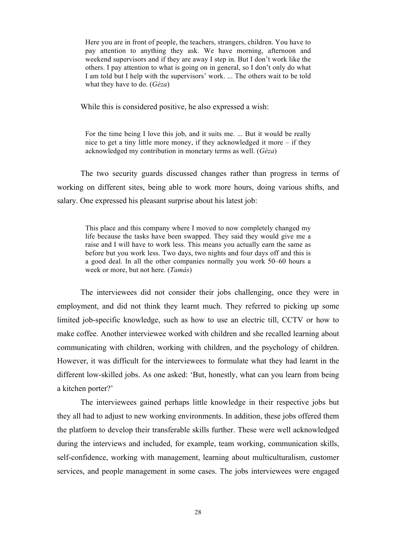Here you are in front of people, the teachers, strangers, children. You have to pay attention to anything they ask. We have morning, afternoon and weekend supervisors and if they are away I step in. But I don't work like the others. I pay attention to what is going on in general, so I don't only do what I am told but I help with the supervisors' work. ... The others wait to be told what they have to do. (*Géza*)

While this is considered positive, he also expressed a wish:

For the time being I love this job, and it suits me. ... But it would be really nice to get a tiny little more money, if they acknowledged it more – if they acknowledged my contribution in monetary terms as well. (*Géza*)

The two security guards discussed changes rather than progress in terms of working on different sites, being able to work more hours, doing various shifts, and salary. One expressed his pleasant surprise about his latest job:

This place and this company where I moved to now completely changed my life because the tasks have been swapped. They said they would give me a raise and I will have to work less. This means you actually earn the same as before but you work less. Two days, two nights and four days off and this is a good deal. In all the other companies normally you work 50–60 hours a week or more, but not here. (*Tamás*)

The interviewees did not consider their jobs challenging, once they were in employment, and did not think they learnt much. They referred to picking up some limited job-specific knowledge, such as how to use an electric till, CCTV or how to make coffee. Another interviewee worked with children and she recalled learning about communicating with children, working with children, and the psychology of children. However, it was difficult for the interviewees to formulate what they had learnt in the different low-skilled jobs. As one asked: 'But, honestly, what can you learn from being a kitchen porter?'

The interviewees gained perhaps little knowledge in their respective jobs but they all had to adjust to new working environments. In addition, these jobs offered them the platform to develop their transferable skills further. These were well acknowledged during the interviews and included, for example, team working, communication skills, self-confidence, working with management, learning about multiculturalism, customer services, and people management in some cases. The jobs interviewees were engaged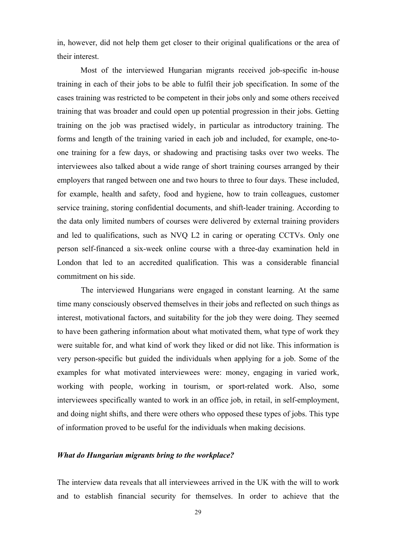in, however, did not help them get closer to their original qualifications or the area of their interest.

Most of the interviewed Hungarian migrants received job-specific in-house training in each of their jobs to be able to fulfil their job specification. In some of the cases training was restricted to be competent in their jobs only and some others received training that was broader and could open up potential progression in their jobs. Getting training on the job was practised widely, in particular as introductory training. The forms and length of the training varied in each job and included, for example, one-toone training for a few days, or shadowing and practising tasks over two weeks. The interviewees also talked about a wide range of short training courses arranged by their employers that ranged between one and two hours to three to four days. These included, for example, health and safety, food and hygiene, how to train colleagues, customer service training, storing confidential documents, and shift-leader training. According to the data only limited numbers of courses were delivered by external training providers and led to qualifications, such as NVQ L2 in caring or operating CCTVs. Only one person self-financed a six-week online course with a three-day examination held in London that led to an accredited qualification. This was a considerable financial commitment on his side.

The interviewed Hungarians were engaged in constant learning. At the same time many consciously observed themselves in their jobs and reflected on such things as interest, motivational factors, and suitability for the job they were doing. They seemed to have been gathering information about what motivated them, what type of work they were suitable for, and what kind of work they liked or did not like. This information is very person-specific but guided the individuals when applying for a job. Some of the examples for what motivated interviewees were: money, engaging in varied work, working with people, working in tourism, or sport-related work. Also, some interviewees specifically wanted to work in an office job, in retail, in self-employment, and doing night shifts, and there were others who opposed these types of jobs. This type of information proved to be useful for the individuals when making decisions.

### *What do Hungarian migrants bring to the workplace?*

The interview data reveals that all interviewees arrived in the UK with the will to work and to establish financial security for themselves. In order to achieve that the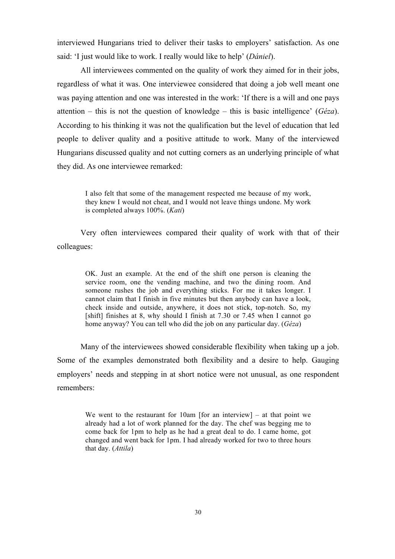interviewed Hungarians tried to deliver their tasks to employers' satisfaction. As one said: 'I just would like to work. I really would like to help' (*Dániel*).

All interviewees commented on the quality of work they aimed for in their jobs, regardless of what it was. One interviewee considered that doing a job well meant one was paying attention and one was interested in the work: 'If there is a will and one pays attention – this is not the question of knowledge – this is basic intelligence' (*Géza*). According to his thinking it was not the qualification but the level of education that led people to deliver quality and a positive attitude to work. Many of the interviewed Hungarians discussed quality and not cutting corners as an underlying principle of what they did. As one interviewee remarked:

I also felt that some of the management respected me because of my work, they knew I would not cheat, and I would not leave things undone. My work is completed always 100%. (*Kati*)

Very often interviewees compared their quality of work with that of their colleagues:

OK. Just an example. At the end of the shift one person is cleaning the service room, one the vending machine, and two the dining room. And someone rushes the job and everything sticks. For me it takes longer. I cannot claim that I finish in five minutes but then anybody can have a look, check inside and outside, anywhere, it does not stick, top-notch. So, my [shift] finishes at 8, why should I finish at 7.30 or 7.45 when I cannot go home anyway? You can tell who did the job on any particular day. (*Géza*)

Many of the interviewees showed considerable flexibility when taking up a job. Some of the examples demonstrated both flexibility and a desire to help. Gauging employers' needs and stepping in at short notice were not unusual, as one respondent remembers:

We went to the restaurant for 10am [for an interview] – at that point we already had a lot of work planned for the day. The chef was begging me to come back for 1pm to help as he had a great deal to do. I came home, got changed and went back for 1pm. I had already worked for two to three hours that day. (*Attila*)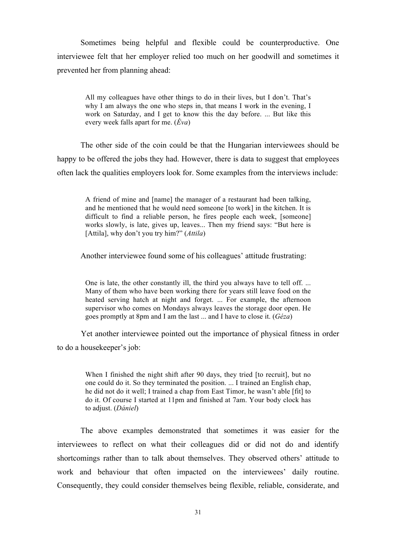Sometimes being helpful and flexible could be counterproductive. One interviewee felt that her employer relied too much on her goodwill and sometimes it prevented her from planning ahead:

All my colleagues have other things to do in their lives, but I don't. That's why I am always the one who steps in, that means I work in the evening, I work on Saturday, and I get to know this the day before. ... But like this every week falls apart for me. (*Éva*)

The other side of the coin could be that the Hungarian interviewees should be happy to be offered the jobs they had. However, there is data to suggest that employees often lack the qualities employers look for. Some examples from the interviews include:

A friend of mine and [name] the manager of a restaurant had been talking, and he mentioned that he would need someone [to work] in the kitchen. It is difficult to find a reliable person, he fires people each week, [someone] works slowly, is late, gives up, leaves... Then my friend says: "But here is [Attila], why don't you try him?" (*Attila*)

Another interviewee found some of his colleagues' attitude frustrating:

One is late, the other constantly ill, the third you always have to tell off. ... Many of them who have been working there for years still leave food on the heated serving hatch at night and forget. ... For example, the afternoon supervisor who comes on Mondays always leaves the storage door open. He goes promptly at 8pm and I am the last ... and I have to close it. (*Géza*)

Yet another interviewee pointed out the importance of physical fitness in order to do a housekeeper's job:

When I finished the night shift after 90 days, they tried [to recruit], but no one could do it. So they terminated the position. ... I trained an English chap, he did not do it well; I trained a chap from East Timor, he wasn't able [fit] to do it. Of course I started at 11pm and finished at 7am. Your body clock has to adjust. (*Dániel*)

The above examples demonstrated that sometimes it was easier for the interviewees to reflect on what their colleagues did or did not do and identify shortcomings rather than to talk about themselves. They observed others' attitude to work and behaviour that often impacted on the interviewees' daily routine. Consequently, they could consider themselves being flexible, reliable, considerate, and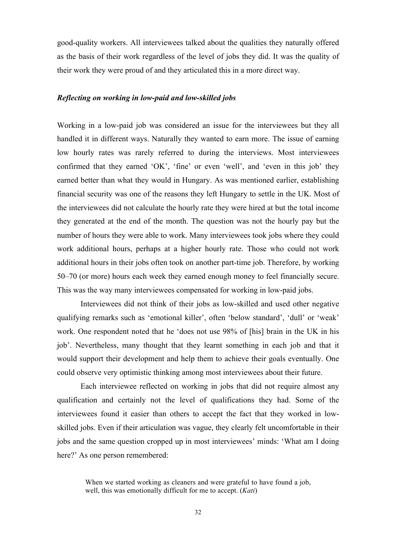good-quality workers. All interviewees talked about the qualities they naturally offered as the basis of their work regardless of the level of jobs they did. It was the quality of their work they were proud of and they articulated this in a more direct way.

#### *Reflecting on working in low-paid and low-skilled jobs*

Working in a low-paid job was considered an issue for the interviewees but they all handled it in different ways. Naturally they wanted to earn more. The issue of earning low hourly rates was rarely referred to during the interviews. Most interviewees confirmed that they earned 'OK', 'fine' or even 'well', and 'even in this job' they earned better than what they would in Hungary. As was mentioned earlier, establishing financial security was one of the reasons they left Hungary to settle in the UK. Most of the interviewees did not calculate the hourly rate they were hired at but the total income they generated at the end of the month. The question was not the hourly pay but the number of hours they were able to work. Many interviewees took jobs where they could work additional hours, perhaps at a higher hourly rate. Those who could not work additional hours in their jobs often took on another part-time job. Therefore, by working 50–70 (or more) hours each week they earned enough money to feel financially secure. This was the way many interviewees compensated for working in low-paid jobs.

Interviewees did not think of their jobs as low-skilled and used other negative qualifying remarks such as 'emotional killer', often 'below standard', 'dull' or 'weak' work. One respondent noted that he 'does not use 98% of [his] brain in the UK in his job'. Nevertheless, many thought that they learnt something in each job and that it would support their development and help them to achieve their goals eventually. One could observe very optimistic thinking among most interviewees about their future.

Each interviewee reflected on working in jobs that did not require almost any qualification and certainly not the level of qualifications they had. Some of the interviewees found it easier than others to accept the fact that they worked in lowskilled jobs. Even if their articulation was vague, they clearly felt uncomfortable in their jobs and the same question cropped up in most interviewees' minds: 'What am I doing here?' As one person remembered:

When we started working as cleaners and were grateful to have found a job, well, this was emotionally difficult for me to accept. (*Kati*)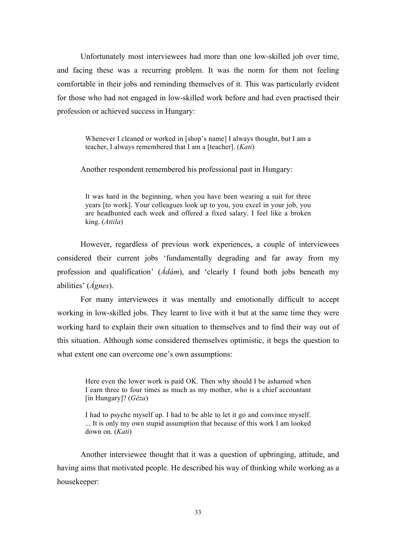Unfortunately most interviewees had more than one low-skilled job over time, and facing these was a recurring problem. It was the norm for them not feeling comfortable in their jobs and reminding themselves of it. This was particularly evident for those who had not engaged in low-skilled work before and had even practised their profession or achieved success in Hungary:

Whenever I cleaned or worked in [shop's name] I always thought, but I am a teacher, I always remembered that I am a [teacher]. (*Kati*)

Another respondent remembered his professional past in Hungary:

It was hard in the beginning, when you have been wearing a suit for three years [to work]. Your colleagues look up to you, you excel in your job, you are headhunted each week and offered a fixed salary. I feel like a broken king. (*Attila*)

However, regardless of previous work experiences, a couple of interviewees considered their current jobs 'fundamentally degrading and far away from my profession and qualification' (*Ádám*), and 'clearly I found both jobs beneath my abilities' (*Ágnes*).

For many interviewees it was mentally and emotionally difficult to accept working in low-skilled jobs. They learnt to live with it but at the same time they were working hard to explain their own situation to themselves and to find their way out of this situation. Although some considered themselves optimistic, it begs the question to what extent one can overcome one's own assumptions:

Here even the lower work is paid OK. Then why should I be ashamed when I earn three to four times as much as my mother, who is a chief accountant [in Hungary]? (*Géza*)

I had to psyche myself up. I had to be able to let it go and convince myself. ... It is only my own stupid assumption that because of this work I am looked down on. (*Kati*)

Another interviewee thought that it was a question of upbringing, attitude, and having aims that motivated people. He described his way of thinking while working as a housekeeper: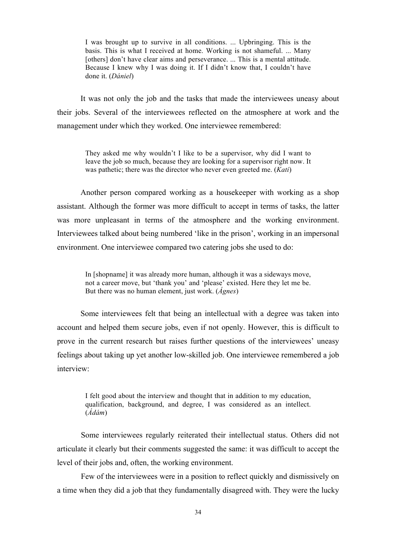I was brought up to survive in all conditions. ... Upbringing. This is the basis. This is what I received at home. Working is not shameful. ... Many [others] don't have clear aims and perseverance. ... This is a mental attitude. Because I knew why I was doing it. If I didn't know that, I couldn't have done it. (*Dániel*)

It was not only the job and the tasks that made the interviewees uneasy about their jobs. Several of the interviewees reflected on the atmosphere at work and the management under which they worked. One interviewee remembered:

They asked me why wouldn't I like to be a supervisor, why did I want to leave the job so much, because they are looking for a supervisor right now. It was pathetic; there was the director who never even greeted me. (*Kati*)

Another person compared working as a housekeeper with working as a shop assistant. Although the former was more difficult to accept in terms of tasks, the latter was more unpleasant in terms of the atmosphere and the working environment. Interviewees talked about being numbered 'like in the prison', working in an impersonal environment. One interviewee compared two catering jobs she used to do:

In [shopname] it was already more human, although it was a sideways move, not a career move, but 'thank you' and 'please' existed. Here they let me be. But there was no human element, just work. (*Ágnes*)

Some interviewees felt that being an intellectual with a degree was taken into account and helped them secure jobs, even if not openly. However, this is difficult to prove in the current research but raises further questions of the interviewees' uneasy feelings about taking up yet another low-skilled job. One interviewee remembered a job interview:

I felt good about the interview and thought that in addition to my education, qualification, background, and degree, I was considered as an intellect. (*Ádám*)

Some interviewees regularly reiterated their intellectual status. Others did not articulate it clearly but their comments suggested the same: it was difficult to accept the level of their jobs and, often, the working environment.

Few of the interviewees were in a position to reflect quickly and dismissively on a time when they did a job that they fundamentally disagreed with. They were the lucky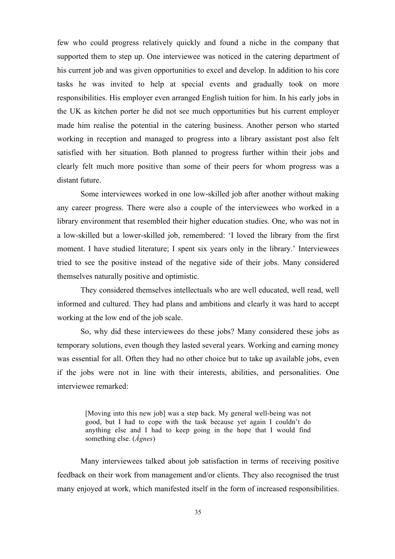few who could progress relatively quickly and found a niche in the company that supported them to step up. One interviewee was noticed in the catering department of his current job and was given opportunities to excel and develop. In addition to his core tasks he was invited to help at special events and gradually took on more responsibilities. His employer even arranged English tuition for him. In his early jobs in the UK as kitchen porter he did not see much opportunities but his current employer made him realise the potential in the catering business. Another person who started working in reception and managed to progress into a library assistant post also felt satisfied with her situation. Both planned to progress further within their jobs and clearly felt much more positive than some of their peers for whom progress was a distant future.

Some interviewees worked in one low-skilled job after another without making any career progress. There were also a couple of the interviewees who worked in a library environment that resembled their higher education studies. One, who was not in a low-skilled but a lower-skilled job, remembered: 'I loved the library from the first moment. I have studied literature; I spent six years only in the library.' Interviewees tried to see the positive instead of the negative side of their jobs. Many considered themselves naturally positive and optimistic.

They considered themselves intellectuals who are well educated, well read, well informed and cultured. They had plans and ambitions and clearly it was hard to accept working at the low end of the job scale.

So, why did these interviewees do these jobs? Many considered these jobs as temporary solutions, even though they lasted several years. Working and earning money was essential for all. Often they had no other choice but to take up available jobs, even if the jobs were not in line with their interests, abilities, and personalities. One interviewee remarked:

[Moving into this new job] was a step back. My general well-being was not good, but I had to cope with the task because yet again I couldn't do anything else and I had to keep going in the hope that I would find something else. (*Ágnes*)

Many interviewees talked about job satisfaction in terms of receiving positive feedback on their work from management and/or clients. They also recognised the trust many enjoyed at work, which manifested itself in the form of increased responsibilities.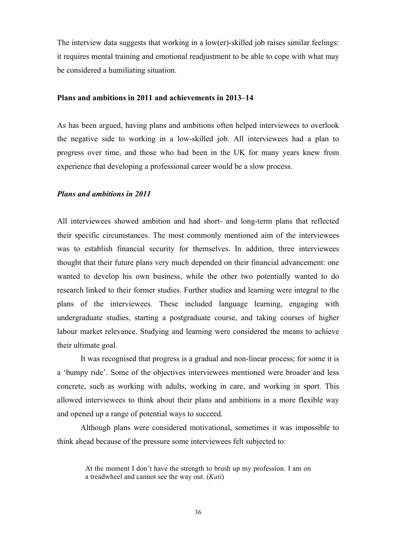The interview data suggests that working in a low(er)-skilled job raises similar feelings: it requires mental training and emotional readjustment to be able to cope with what may be considered a humiliating situation.

#### **Plans and ambitions in 2011 and achievements in 2013–14**

As has been argued, having plans and ambitions often helped interviewees to overlook the negative side to working in a low-skilled job. All interviewees had a plan to progress over time, and those who had been in the UK for many years knew from experience that developing a professional career would be a slow process.

#### *Plans and ambitions in 2011*

All interviewees showed ambition and had short- and long-term plans that reflected their specific circumstances. The most commonly mentioned aim of the interviewees was to establish financial security for themselves. In addition, three interviewees thought that their future plans very much depended on their financial advancement: one wanted to develop his own business, while the other two potentially wanted to do research linked to their former studies. Further studies and learning were integral to the plans of the interviewees. These included language learning, engaging with undergraduate studies, starting a postgraduate course, and taking courses of higher labour market relevance. Studying and learning were considered the means to achieve their ultimate goal.

It was recognised that progress is a gradual and non-linear process; for some it is a 'bumpy ride'. Some of the objectives interviewees mentioned were broader and less concrete, such as working with adults, working in care, and working in sport. This allowed interviewees to think about their plans and ambitions in a more flexible way and opened up a range of potential ways to succeed.

Although plans were considered motivational, sometimes it was impossible to think ahead because of the pressure some interviewees felt subjected to:

At the moment I don't have the strength to brush up my profession. I am on a treadwheel and cannot see the way out. (*Kati*)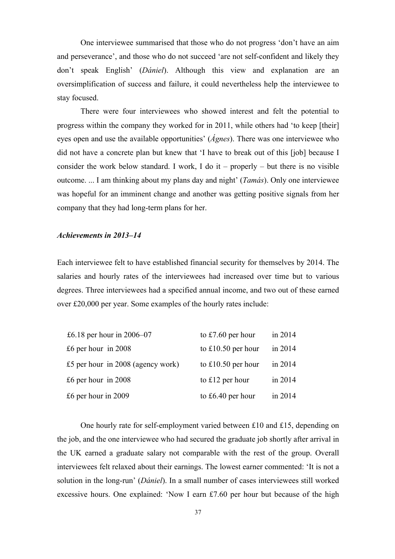One interviewee summarised that those who do not progress 'don't have an aim and perseverance', and those who do not succeed 'are not self-confident and likely they don't speak English' (*Dániel*). Although this view and explanation are an oversimplification of success and failure, it could nevertheless help the interviewee to stay focused.

There were four interviewees who showed interest and felt the potential to progress within the company they worked for in 2011, while others had 'to keep [their] eyes open and use the available opportunities' (*Ágnes*). There was one interviewee who did not have a concrete plan but knew that 'I have to break out of this [job] because I consider the work below standard. I work, I do it – properly – but there is no visible outcome. ... I am thinking about my plans day and night' (*Tamás*). Only one interviewee was hopeful for an imminent change and another was getting positive signals from her company that they had long-term plans for her.

#### *Achievements in 2013–14*

Each interviewee felt to have established financial security for themselves by 2014. The salaries and hourly rates of the interviewees had increased over time but to various degrees. Three interviewees had a specified annual income, and two out of these earned over £20,000 per year. Some examples of the hourly rates include:

| £6.18 per hour in $2006-07$         | to $£7.60$ per hour | in 2014 |
|-------------------------------------|---------------------|---------|
| £6 per hour in $2008$               | to £10.50 per hour  | in 2014 |
| £5 per hour in $2008$ (agency work) | to £10.50 per hour  | in 2014 |
| £6 per hour in $2008$               | to £12 per hour     | in 2014 |
| £6 per hour in $2009$               | to $£6.40$ per hour | in 2014 |

One hourly rate for self-employment varied between £10 and £15, depending on the job, and the one interviewee who had secured the graduate job shortly after arrival in the UK earned a graduate salary not comparable with the rest of the group. Overall interviewees felt relaxed about their earnings. The lowest earner commented: 'It is not a solution in the long-run' (*Dániel*). In a small number of cases interviewees still worked excessive hours. One explained: 'Now I earn £7.60 per hour but because of the high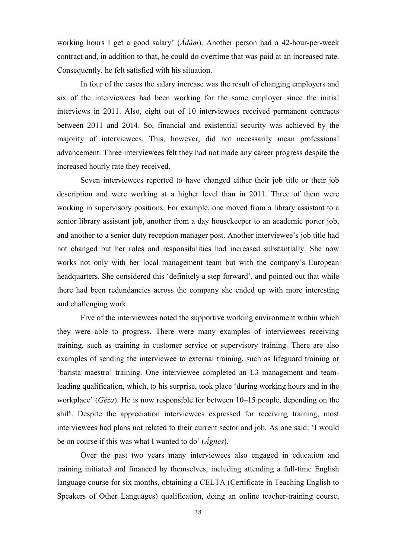working hours I get a good salary' (*Ádám*). Another person had a 42-hour-per-week contract and, in addition to that, he could do overtime that was paid at an increased rate. Consequently, he felt satisfied with his situation.

In four of the cases the salary increase was the result of changing employers and six of the interviewees had been working for the same employer since the initial interviews in 2011. Also, eight out of 10 interviewees received permanent contracts between 2011 and 2014. So, financial and existential security was achieved by the majority of interviewees. This, however, did not necessarily mean professional advancement. Three interviewees felt they had not made any career progress despite the increased hourly rate they received.

Seven interviewees reported to have changed either their job title or their job description and were working at a higher level than in 2011. Three of them were working in supervisory positions. For example, one moved from a library assistant to a senior library assistant job, another from a day housekeeper to an academic porter job, and another to a senior duty reception manager post. Another interviewee's job title had not changed but her roles and responsibilities had increased substantially. She now works not only with her local management team but with the company's European headquarters. She considered this 'definitely a step forward', and pointed out that while there had been redundancies across the company she ended up with more interesting and challenging work.

Five of the interviewees noted the supportive working environment within which they were able to progress. There were many examples of interviewees receiving training, such as training in customer service or supervisory training. There are also examples of sending the interviewee to external training, such as lifeguard training or 'barista maestro' training. One interviewee completed an L3 management and teamleading qualification, which, to his surprise, took place 'during working hours and in the workplace' (*Géza*). He is now responsible for between 10–15 people, depending on the shift. Despite the appreciation interviewees expressed for receiving training, most interviewees had plans not related to their current sector and job. As one said: 'I would be on course if this was what I wanted to do' (*Ágnes*).

Over the past two years many interviewees also engaged in education and training initiated and financed by themselves, including attending a full-time English language course for six months, obtaining a CELTA (Certificate in Teaching English to Speakers of Other Languages) qualification, doing an online teacher-training course,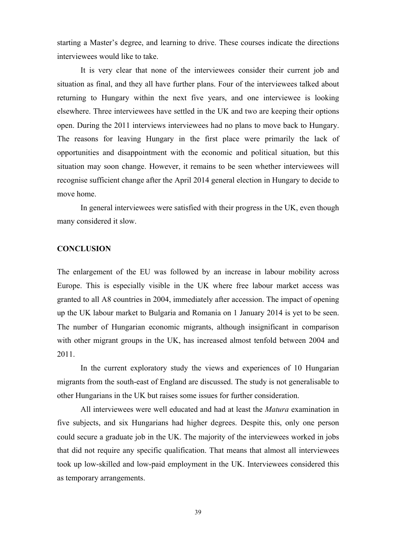starting a Master's degree, and learning to drive. These courses indicate the directions interviewees would like to take.

It is very clear that none of the interviewees consider their current job and situation as final, and they all have further plans. Four of the interviewees talked about returning to Hungary within the next five years, and one interviewee is looking elsewhere. Three interviewees have settled in the UK and two are keeping their options open. During the 2011 interviews interviewees had no plans to move back to Hungary. The reasons for leaving Hungary in the first place were primarily the lack of opportunities and disappointment with the economic and political situation, but this situation may soon change. However, it remains to be seen whether interviewees will recognise sufficient change after the April 2014 general election in Hungary to decide to move home.

In general interviewees were satisfied with their progress in the UK, even though many considered it slow.

#### **CONCLUSION**

The enlargement of the EU was followed by an increase in labour mobility across Europe. This is especially visible in the UK where free labour market access was granted to all A8 countries in 2004, immediately after accession. The impact of opening up the UK labour market to Bulgaria and Romania on 1 January 2014 is yet to be seen. The number of Hungarian economic migrants, although insignificant in comparison with other migrant groups in the UK, has increased almost tenfold between 2004 and 2011.

In the current exploratory study the views and experiences of 10 Hungarian migrants from the south-east of England are discussed. The study is not generalisable to other Hungarians in the UK but raises some issues for further consideration.

All interviewees were well educated and had at least the *Matura* examination in five subjects, and six Hungarians had higher degrees. Despite this, only one person could secure a graduate job in the UK. The majority of the interviewees worked in jobs that did not require any specific qualification. That means that almost all interviewees took up low-skilled and low-paid employment in the UK. Interviewees considered this as temporary arrangements.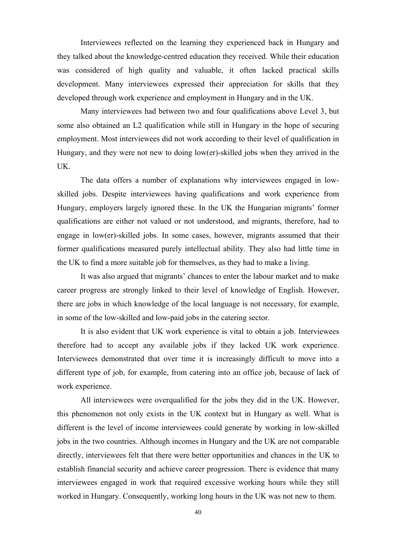Interviewees reflected on the learning they experienced back in Hungary and they talked about the knowledge-centred education they received. While their education was considered of high quality and valuable, it often lacked practical skills development. Many interviewees expressed their appreciation for skills that they developed through work experience and employment in Hungary and in the UK.

Many interviewees had between two and four qualifications above Level 3, but some also obtained an L2 qualification while still in Hungary in the hope of securing employment. Most interviewees did not work according to their level of qualification in Hungary, and they were not new to doing low(er)-skilled jobs when they arrived in the UK.

The data offers a number of explanations why interviewees engaged in lowskilled jobs. Despite interviewees having qualifications and work experience from Hungary, employers largely ignored these. In the UK the Hungarian migrants' former qualifications are either not valued or not understood, and migrants, therefore, had to engage in low(er)-skilled jobs. In some cases, however, migrants assumed that their former qualifications measured purely intellectual ability. They also had little time in the UK to find a more suitable job for themselves, as they had to make a living.

It was also argued that migrants' chances to enter the labour market and to make career progress are strongly linked to their level of knowledge of English. However, there are jobs in which knowledge of the local language is not necessary, for example, in some of the low-skilled and low-paid jobs in the catering sector.

It is also evident that UK work experience is vital to obtain a job. Interviewees therefore had to accept any available jobs if they lacked UK work experience. Interviewees demonstrated that over time it is increasingly difficult to move into a different type of job, for example, from catering into an office job, because of lack of work experience.

All interviewees were overqualified for the jobs they did in the UK. However, this phenomenon not only exists in the UK context but in Hungary as well. What is different is the level of income interviewees could generate by working in low-skilled jobs in the two countries. Although incomes in Hungary and the UK are not comparable directly, interviewees felt that there were better opportunities and chances in the UK to establish financial security and achieve career progression. There is evidence that many interviewees engaged in work that required excessive working hours while they still worked in Hungary. Consequently, working long hours in the UK was not new to them.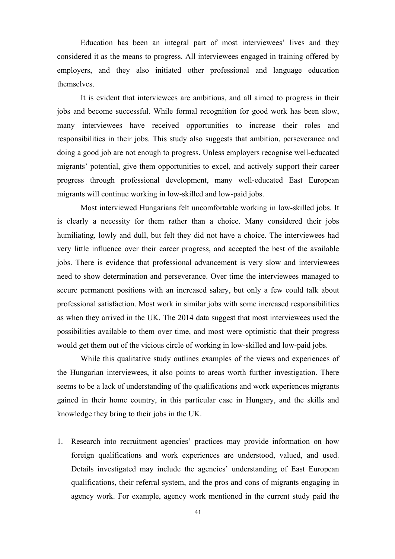Education has been an integral part of most interviewees' lives and they considered it as the means to progress. All interviewees engaged in training offered by employers, and they also initiated other professional and language education themselves.

It is evident that interviewees are ambitious, and all aimed to progress in their jobs and become successful. While formal recognition for good work has been slow, many interviewees have received opportunities to increase their roles and responsibilities in their jobs. This study also suggests that ambition, perseverance and doing a good job are not enough to progress. Unless employers recognise well-educated migrants' potential, give them opportunities to excel, and actively support their career progress through professional development, many well-educated East European migrants will continue working in low-skilled and low-paid jobs.

Most interviewed Hungarians felt uncomfortable working in low-skilled jobs. It is clearly a necessity for them rather than a choice. Many considered their jobs humiliating, lowly and dull, but felt they did not have a choice. The interviewees had very little influence over their career progress, and accepted the best of the available jobs. There is evidence that professional advancement is very slow and interviewees need to show determination and perseverance. Over time the interviewees managed to secure permanent positions with an increased salary, but only a few could talk about professional satisfaction. Most work in similar jobs with some increased responsibilities as when they arrived in the UK. The 2014 data suggest that most interviewees used the possibilities available to them over time, and most were optimistic that their progress would get them out of the vicious circle of working in low-skilled and low-paid jobs.

While this qualitative study outlines examples of the views and experiences of the Hungarian interviewees, it also points to areas worth further investigation. There seems to be a lack of understanding of the qualifications and work experiences migrants gained in their home country, in this particular case in Hungary, and the skills and knowledge they bring to their jobs in the UK.

1. Research into recruitment agencies' practices may provide information on how foreign qualifications and work experiences are understood, valued, and used. Details investigated may include the agencies' understanding of East European qualifications, their referral system, and the pros and cons of migrants engaging in agency work. For example, agency work mentioned in the current study paid the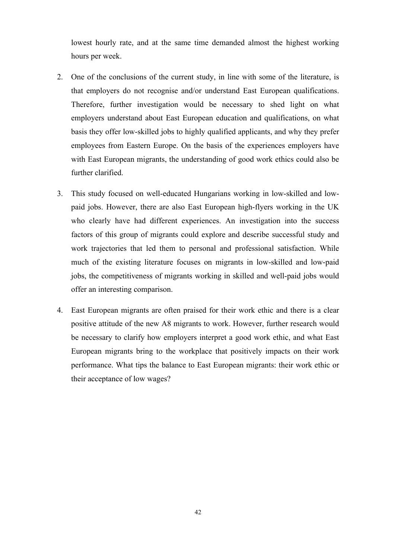lowest hourly rate, and at the same time demanded almost the highest working hours per week.

- 2. One of the conclusions of the current study, in line with some of the literature, is that employers do not recognise and/or understand East European qualifications. Therefore, further investigation would be necessary to shed light on what employers understand about East European education and qualifications, on what basis they offer low-skilled jobs to highly qualified applicants, and why they prefer employees from Eastern Europe. On the basis of the experiences employers have with East European migrants, the understanding of good work ethics could also be further clarified.
- 3. This study focused on well-educated Hungarians working in low-skilled and lowpaid jobs. However, there are also East European high-flyers working in the UK who clearly have had different experiences. An investigation into the success factors of this group of migrants could explore and describe successful study and work trajectories that led them to personal and professional satisfaction. While much of the existing literature focuses on migrants in low-skilled and low-paid jobs, the competitiveness of migrants working in skilled and well-paid jobs would offer an interesting comparison.
- 4. East European migrants are often praised for their work ethic and there is a clear positive attitude of the new A8 migrants to work. However, further research would be necessary to clarify how employers interpret a good work ethic, and what East European migrants bring to the workplace that positively impacts on their work performance. What tips the balance to East European migrants: their work ethic or their acceptance of low wages?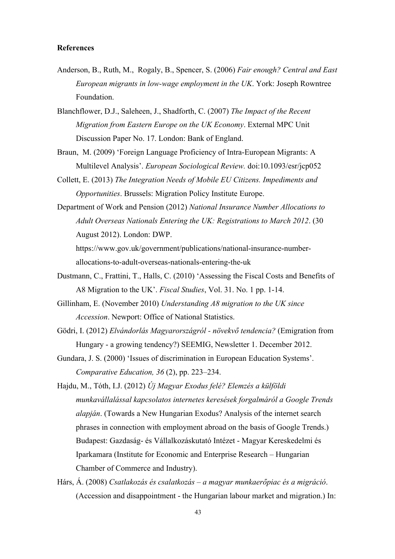### **References**

- Anderson, B., Ruth, M., Rogaly, B., Spencer, S. (2006) *Fair enough? Central and East European migrants in low-wage employment in the UK*. York: Joseph Rowntree Foundation.
- Blanchflower, D.J., Saleheen, J., Shadforth, C. (2007) *The Impact of the Recent Migration from Eastern Europe on the UK Economy*. External MPC Unit Discussion Paper No. 17. London: Bank of England.
- Braun, M. (2009) 'Foreign Language Proficiency of Intra-European Migrants: A Multilevel Analysis'. *European Sociological Review.* doi:10.1093/esr/jcp052
- Collett, E. (2013) *The Integration Needs of Mobile EU Citizens. Impediments and Opportunities*. Brussels: Migration Policy Institute Europe.
- Department of Work and Pension (2012) *National Insurance Number Allocations to Adult Overseas Nationals Entering the UK: Registrations to March 2012*. (30 August 2012). London: DWP. https://www.gov.uk/government/publications/national-insurance-number-

allocations-to-adult-overseas-nationals-entering-the-uk

- Dustmann, C., Frattini, T., Halls, C. (2010) 'Assessing the Fiscal Costs and Benefits of A8 Migration to the UK'. *Fiscal Studies*, Vol. 31. No. 1 pp. 1-14.
- Gillinham, E. (November 2010) *Understanding A8 migration to the UK since Accession*. Newport: Office of National Statistics.
- Gödri, I. (2012) *Elvándorlás Magyarországról - növekvő tendencia?* (Emigration from Hungary - a growing tendency?) SEEMIG, Newsletter 1. December 2012.
- Gundara, J. S. (2000) 'Issues of discrimination in European Education Systems'. *Comparative Education, 36* (2), pp. 223–234.
- Hajdu, M., Tóth, I.J. (2012) *Új Magyar Exodus felé? Elemzés a külföldi munkavállalással kapcsolatos internetes keresések forgalmáról a Google Trends alapján*. (Towards a New Hungarian Exodus? Analysis of the internet search phrases in connection with employment abroad on the basis of Google Trends.) Budapest: Gazdaság- és Vállalkozáskutató Intézet - Magyar Kereskedelmi és Iparkamara (Institute for Economic and Enterprise Research – Hungarian Chamber of Commerce and Industry).
- Hárs, Á. (2008) *Csatlakozás és csalatkozás – a magyar munkaerőpiac és a migráció*. (Accession and disappointment - the Hungarian labour market and migration.) In: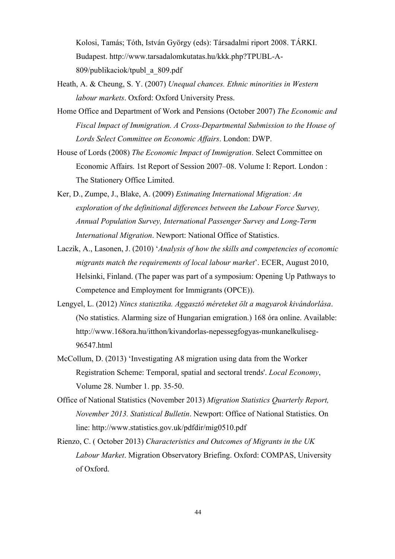Kolosi, Tamás; Tóth, István György (eds): Társadalmi riport 2008. TÁRKI. Budapest. http://www.tarsadalomkutatas.hu/kkk.php?TPUBL-A-809/publikaciok/tpubl\_a\_809.pdf

- Heath, A. & Cheung, S. Y. (2007) *Unequal chances. Ethnic minorities in Western labour markets*. Oxford: Oxford University Press.
- Home Office and Department of Work and Pensions (October 2007) *The Economic and Fiscal Impact of Immigration. A Cross-Departmental Submission to the House of Lords Select Committee on Economic Affairs*. London: DWP.
- House of Lords (2008) *The Economic Impact of Immigration*. Select Committee on Economic Affairs. 1st Report of Session 2007–08. Volume I: Report. London : The Stationery Office Limited.
- Ker, D., Zumpe, J., Blake, A. (2009) *Estimating International Migration: An exploration of the definitional differences between the Labour Force Survey, Annual Population Survey, International Passenger Survey and Long-Term International Migration*. Newport: National Office of Statistics.
- Laczik, A., Lasonen, J. (2010) '*Analysis of how the skills and competencies of economic migrants match the requirements of local labour market*'. ECER, August 2010, Helsinki, Finland. (The paper was part of a symposium: Opening Up Pathways to Competence and Employment for Immigrants (OPCE)).
- Lengyel, L. (2012) *Nincs statisztika. Aggasztó méreteket ölt a magyarok kivándorlása*. (No statistics. Alarming size of Hungarian emigration.) 168 óra online. Available: http://www.168ora.hu/itthon/kivandorlas-nepessegfogyas-munkanelkuliseg-96547.html
- McCollum, D. (2013) 'Investigating A8 migration using data from the Worker Registration Scheme: Temporal, spatial and sectoral trends'. *Local Economy*, Volume 28. Number 1. pp. 35-50.
- Office of National Statistics (November 2013) *Migration Statistics Quarterly Report, November 2013. Statistical Bulletin*. Newport: Office of National Statistics. On line: http://www.statistics.gov.uk/pdfdir/mig0510.pdf
- Rienzo, C. ( October 2013) *Characteristics and Outcomes of Migrants in the UK Labour Market*. Migration Observatory Briefing. Oxford: COMPAS, University of Oxford.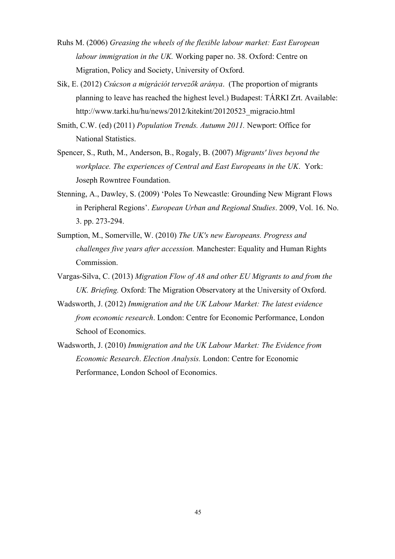- Ruhs M. (2006) *Greasing the wheels of the flexible labour market: East European labour immigration in the UK.* Working paper no. 38. Oxford: Centre on Migration, Policy and Society, University of Oxford.
- Sik, E. (2012) *Csúcson a migrációt tervezők aránya*. (The proportion of migrants planning to leave has reached the highest level.) Budapest: TÁRKI Zrt. Available: http://www.tarki.hu/hu/news/2012/kitekint/20120523\_migracio.html
- Smith, C.W. (ed) (2011) *Population Trends. Autumn 2011.* Newport: Office for National Statistics.
- Spencer, S., Ruth, M., Anderson, B., Rogaly, B. (2007) *Migrants' lives beyond the workplace. The experiences of Central and East Europeans in the UK*. York: Joseph Rowntree Foundation.
- Stenning, A., Dawley, S. (2009) 'Poles To Newcastle: Grounding New Migrant Flows in Peripheral Regions'. *European Urban and Regional Studies*. 2009, Vol. 16. No. 3. pp. 273-294.
- Sumption, M., Somerville, W. (2010) *The UK's new Europeans. Progress and challenges five years after accession.* Manchester: Equality and Human Rights Commission.
- Vargas-Silva, C. (2013) *Migration Flow of A8 and other EU Migrants to and from the UK. Briefing.* Oxford: The Migration Observatory at the University of Oxford.
- Wadsworth, J. (2012) *Immigration and the UK Labour Market: The latest evidence from economic research*. London: Centre for Economic Performance, London School of Economics.
- Wadsworth, J. (2010) *Immigration and the UK Labour Market: The Evidence from Economic Research*. *Election Analysis.* London: Centre for Economic Performance, London School of Economics.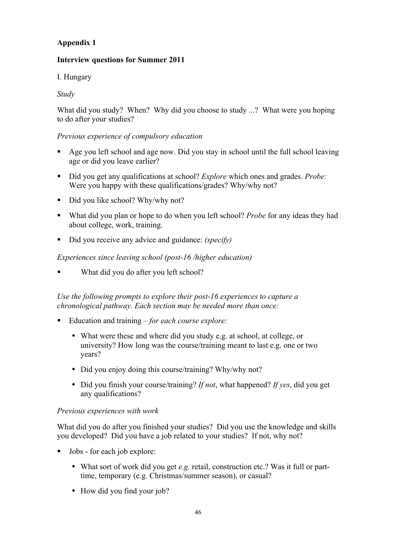## **Appendix 1**

## **Interview questions for Summer 2011**

## I. Hungary

## *Study*

What did you study? When? Why did you choose to study ...? What were you hoping to do after your studies?

### *Previous experience of compulsory education*

- ! Age you left school and age now. Did you stay in school until the full school leaving age or did you leave earlier?
- ! Did you get any qualifications at school? *Explore* which ones and grades. *Probe:*  Were you happy with these qualifications/grades? Why/why not?
- Did you like school? Why/why not?
- ! What did you plan or hope to do when you left school? *Probe* for any ideas they had about college, work, training.
- ! Did you receive any advice and guidance: *(specify)*

### *Experiences since leaving school (post-16 /higher education)*

What did you do after you left school?

*Use the following prompts to explore their post-16 experiences to capture a chronological pathway. Each section may be needed more than once:*

- ! Education and training *for each course explore:*
	- What were these and where did you study e.g. at school, at college, or university? How long was the course/training meant to last e.g. one or two years?
	- Did you enjoy doing this course/training? Why/why not?
	- Did you finish your course/training? *If not*, what happened? *If yes*, did you get any qualifications?

### *Previous experiences with work*

What did you do after you finished your studies? Did you use the knowledge and skills you developed? Did you have a job related to your studies? If not, why not?

- ! Jobs for each job explore:
	- What sort of work did you get *e.g.* retail, construction etc.? Was it full or parttime, temporary (e.g. Christmas/summer season), or casual?
	- How did you find your job?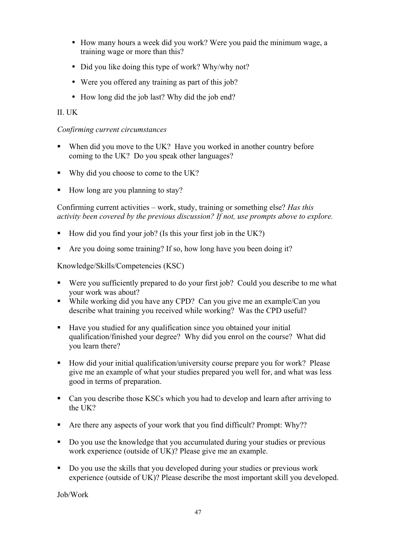- How many hours a week did you work? Were you paid the minimum wage, a training wage or more than this?
- Did you like doing this type of work? Why/why not?
- Were you offered any training as part of this job?
- How long did the job last? Why did the job end?

## II. UK

### *Confirming current circumstances*

- When did you move to the UK? Have you worked in another country before coming to the UK? Do you speak other languages?
- ! Why did you choose to come to the UK?
- How long are you planning to stay?

Confirming current activities – work, study, training or something else? *Has this activity been covered by the previous discussion? If not, use prompts above to explore.*

- ! How did you find your job? (Is this your first job in the UK?)
- Are you doing some training? If so, how long have you been doing it?

Knowledge/Skills/Competencies (KSC)

- Were you sufficiently prepared to do your first job? Could you describe to me what your work was about?
- ! While working did you have any CPD? Can you give me an example/Can you describe what training you received while working? Was the CPD useful?
- ! Have you studied for any qualification since you obtained your initial qualification/finished your degree? Why did you enrol on the course? What did you learn there?
- ! How did your initial qualification/university course prepare you for work? Please give me an example of what your studies prepared you well for, and what was less good in terms of preparation.
- ! Can you describe those KSCs which you had to develop and learn after arriving to the UK?
- ! Are there any aspects of your work that you find difficult? Prompt: Why??
- ! Do you use the knowledge that you accumulated during your studies or previous work experience (outside of UK)? Please give me an example.
- ! Do you use the skills that you developed during your studies or previous work experience (outside of UK)? Please describe the most important skill you developed.

Job/Work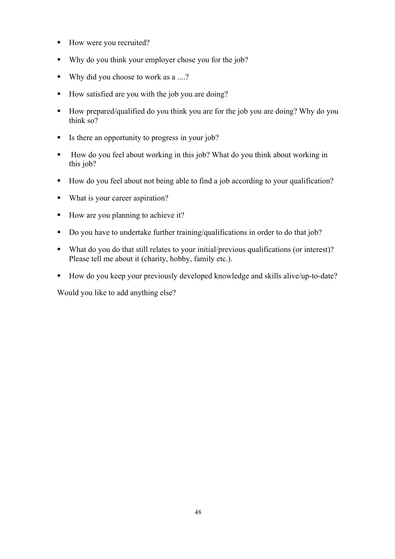- How were you recruited?
- ! Why do you think your employer chose you for the job?
- ! Why did you choose to work as a ....?
- ! How satisfied are you with the job you are doing?
- ! How prepared/qualified do you think you are for the job you are doing? Why do you think so?
- ! Is there an opportunity to progress in your job?
- ! How do you feel about working in this job? What do you think about working in this job?
- ! How do you feel about not being able to find a job according to your qualification?
- What is your career aspiration?
- ! How are you planning to achieve it?
- ! Do you have to undertake further training/qualifications in order to do that job?
- ! What do you do that still relates to your initial/previous qualifications (or interest)? Please tell me about it (charity, hobby, family etc.).
- ! How do you keep your previously developed knowledge and skills alive/up-to-date?

Would you like to add anything else?